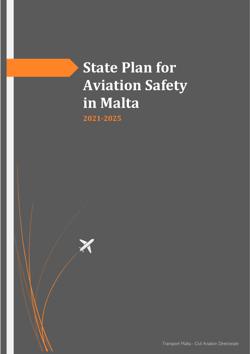# **State Plan for Aviation Safety in Malta**

**2021-2025**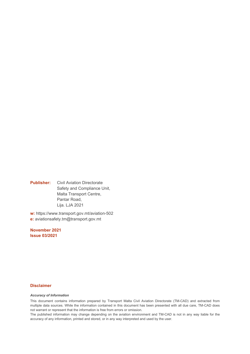**Publisher:** Civil Aviation Directorate Safety and Compliance Unit, Malta Transport Centre, Pantar Road, Lija. LJA 2021

**w:** https://www.transport.gov.mt/aviation-502 **e:** aviationsafety.tm@transport.gov.mt

**November 2021 Issue 03/2021**

#### **Disclaimer**

#### *Accuracy of Information*

This document contains information prepared by Transport Malta Civil Aviation Directorate (TM-CAD) and extracted from multiple data sources. While the information contained in this document has been presented with all due care, TM-CAD does not warrant or represent that the information is free from errors or omission.

The published information may change depending on the aviation environment and TM-CAD is not in any way liable for the accuracy of any information, printed and stored, or in any way interpreted and used by the user.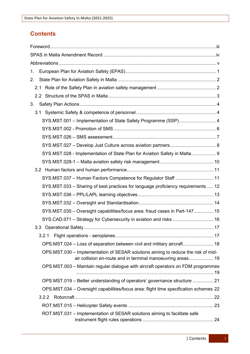# **Contents**

| 1.  |                                                                                                                                                  |  |
|-----|--------------------------------------------------------------------------------------------------------------------------------------------------|--|
| 2.  |                                                                                                                                                  |  |
| 2.1 |                                                                                                                                                  |  |
|     |                                                                                                                                                  |  |
| 3.  |                                                                                                                                                  |  |
|     |                                                                                                                                                  |  |
|     | SYS.MST.001 - Implementation of State Safety Programme (SSP) 4                                                                                   |  |
|     |                                                                                                                                                  |  |
|     |                                                                                                                                                  |  |
|     |                                                                                                                                                  |  |
|     | SYS.MST.028 - Implementation of State Plan for Aviation Safety in Malta 9                                                                        |  |
|     |                                                                                                                                                  |  |
|     |                                                                                                                                                  |  |
|     | SYS.MST.037 - Human Factors Competence for Regulator Staff  11                                                                                   |  |
|     | SYS.MST.033 - Sharing of best practices for language proficiency requirements  12                                                                |  |
|     |                                                                                                                                                  |  |
|     |                                                                                                                                                  |  |
|     | SYS.MST.035 - Oversight capabilities/focus area: fraud cases in Part-147 15                                                                      |  |
|     | SYS.CAD.071 - Strategy for Cybersecurity in aviation and risks  16                                                                               |  |
|     |                                                                                                                                                  |  |
|     | 3.2.1                                                                                                                                            |  |
|     | OPS.MST.024 - Loss of separation between civil and military aircraft 18                                                                          |  |
|     | OPS.MST.030 – Implementation of SESAR solutions aiming to reduce the risk of mid-<br>air collision en-route and in terminal manoeuvring areas 19 |  |
|     | OPS.MST.003 – Maintain regular dialogue with aircraft operators on FDM programmes                                                                |  |
|     | OPS.MST.019 – Better understanding of operators' governance structure  21                                                                        |  |
|     | OPS.MST.034 - Oversight capabilities/focus area: flight time specification schemes 22                                                            |  |
|     |                                                                                                                                                  |  |
|     |                                                                                                                                                  |  |
|     | ROT.MST.031 - Implementation of SESAR solutions aiming to facilitate safe                                                                        |  |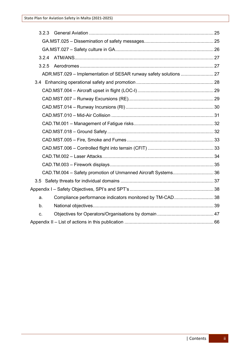| 3.2.3 |                                                               |  |
|-------|---------------------------------------------------------------|--|
|       |                                                               |  |
|       |                                                               |  |
| 3.2.4 |                                                               |  |
| 3.2.5 |                                                               |  |
|       |                                                               |  |
|       |                                                               |  |
|       |                                                               |  |
|       |                                                               |  |
|       |                                                               |  |
|       |                                                               |  |
|       |                                                               |  |
|       |                                                               |  |
|       |                                                               |  |
|       |                                                               |  |
|       |                                                               |  |
|       |                                                               |  |
|       | CAD.TM.004 - Safety promotion of Unmanned Aircraft Systems 36 |  |
|       |                                                               |  |
|       |                                                               |  |
| a.    | Compliance performance indicators monitored by TM-CAD 38      |  |
| b.    |                                                               |  |
| C.    |                                                               |  |
|       |                                                               |  |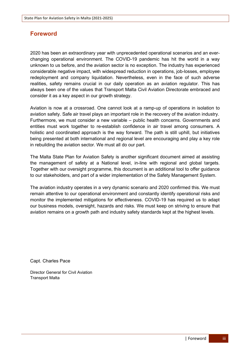# <span id="page-4-0"></span>**Foreword**

2020 has been an extraordinary year with unprecedented operational scenarios and an everchanging operational environment. The COVID-19 pandemic has hit the world in a way unknown to us before, and the aviation sector is no exception. The industry has experienced considerable negative impact, with widespread reduction in operations, job-losses, employee redeployment and company liquidation. Nevertheless, even in the face of such adverse realities, safety remains crucial in our daily operation as an aviation regulator. This has always been one of the values that Transport Malta Civil Aviation Directorate embraced and consider it as a key aspect in our growth strategy.

Aviation is now at a crossroad. One cannot look at a ramp-up of operations in isolation to aviation safety. Safe air travel plays an important role in the recovery of the aviation industry. Furthermore, we must consider a new variable – public health concerns. Governments and entities must work together to re-establish confidence in air travel among consumers. A holistic and coordinated approach is the way forward. The path is still uphill, but initiatives being presented at both international and regional level are encouraging and play a key role in rebuilding the aviation sector. We must all do our part.

The Malta State Plan for Aviation Safety is another significant document aimed at assisting the management of safety at a National level, in-line with regional and global targets. Together with our oversight programme, this document is an additional tool to offer guidance to our stakeholders, and part of a wider implementation of the Safety Management System.

The aviation industry operates in a very dynamic scenario and 2020 confirmed this. We must remain attentive to our operational environment and constantly identify operational risks and monitor the implemented mitigations for effectiveness. COVID-19 has required us to adapt our business models, oversight, hazards and risks. We must keep on striving to ensure that aviation remains on a growth path and industry safety standards kept at the highest levels.

Capt. Charles Pace

Director General for Civil Aviation Transport Malta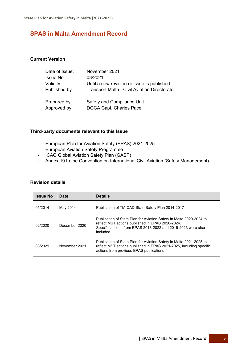# <span id="page-5-0"></span>**SPAS in Malta Amendment Record**

# **Current Version**

| Date of Issue:   | November 2021                                       |
|------------------|-----------------------------------------------------|
| <b>Issue No:</b> | 03/2021                                             |
| Validity:        | Until a new revision or issue is published          |
| Published by:    | <b>Transport Malta - Civil Aviation Directorate</b> |
| Prepared by:     | Safety and Compliance Unit                          |
| Approved by:     | <b>DGCA Capt. Charles Pace</b>                      |

# **Third-party documents relevant to this Issue**

- European Plan for Aviation Safety (EPAS) 2021-2025
- European Aviation Safety Programme
- ICAO Global Aviation Safety Plan (GASP)
- Annex 19 to the Convention on International Civil Aviation (Safety Management)

# **Revision details**

| <b>Issue No</b>                                                                                              | Date     | <b>Details</b>                                                                                                                                                                          |
|--------------------------------------------------------------------------------------------------------------|----------|-----------------------------------------------------------------------------------------------------------------------------------------------------------------------------------------|
| 01/2014                                                                                                      | May 2014 | Publication of TM-CAD State Safety Plan 2014-2017                                                                                                                                       |
| December 2020<br>02/2020<br>included.<br>November 2021<br>03/2021<br>actions from previous EPAS publications |          | Publication of State Plan for Aviation Safety in Malta 2020-2024 to<br>reflect MST actions published in EPAS 2020-2024.<br>Specific actions from EPAS 2018-2022 and 2019-2023 were also |
|                                                                                                              |          | Publication of State Plan for Aviation Safety in Malta 2021-2025 to<br>reflect MST actions published in EPAS 2021-2025, including specific                                              |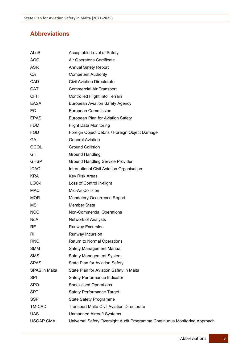# <span id="page-6-0"></span>**Abbreviations**

| ALoS                 | Acceptable Level of Safety                                                |
|----------------------|---------------------------------------------------------------------------|
| <b>AOC</b>           | Air Operator's Certificate                                                |
| <b>ASR</b>           | <b>Annual Safety Report</b>                                               |
| CA                   | <b>Competent Authority</b>                                                |
| <b>CAD</b>           | <b>Civil Aviation Directorate</b>                                         |
| CAT                  | <b>Commercial Air Transport</b>                                           |
| <b>CFIT</b>          | Controlled Flight Into Terrain                                            |
| EASA                 | <b>European Aviation Safety Agency</b>                                    |
| <b>EC</b>            | <b>European Commission</b>                                                |
| <b>EPAS</b>          | European Plan for Aviation Safety                                         |
| <b>FDM</b>           | <b>Flight Data Monitoring</b>                                             |
| <b>FOD</b>           | Foreign Object Debris / Foreign Object Damage                             |
| <b>GA</b>            | <b>General Aviation</b>                                                   |
| <b>GCOL</b>          | <b>Ground Collision</b>                                                   |
| GH                   | <b>Ground Handling</b>                                                    |
| <b>GHSP</b>          | <b>Ground Handling Service Provider</b>                                   |
| <b>ICAO</b>          | International Civil Aviation Organisation                                 |
| <b>KRA</b>           | Key Risk Areas                                                            |
| LOC-I                | Loss of Control In-flight                                                 |
| <b>MAC</b>           | Mid-Air Collision                                                         |
| <b>MOR</b>           | <b>Mandatory Occurrence Report</b>                                        |
| МS                   | <b>Member State</b>                                                       |
| <b>NCO</b>           | <b>Non-Commercial Operations</b>                                          |
| <b>NoA</b>           | Network of Analysts                                                       |
| <b>RE</b>            | <b>Runway Excursion</b>                                                   |
| RI                   | Runway Incursion                                                          |
| <b>RNO</b>           | Return to Normal Operations                                               |
| <b>SMM</b>           | Safety Management Manual                                                  |
| <b>SMS</b>           | <b>Safety Management System</b>                                           |
| <b>SPAS</b>          | <b>State Plan for Aviation Safety</b>                                     |
| <b>SPAS</b> in Malta | State Plan for Aviation Safety in Malta                                   |
| SPI                  | Safety Performance Indicator                                              |
| <b>SPO</b>           | <b>Specialised Operations</b>                                             |
| <b>SPT</b>           | <b>Safety Performance Target</b>                                          |
| <b>SSP</b>           | <b>State Safety Programme</b>                                             |
| TM-CAD               | <b>Transport Malta Civil Aviation Directorate</b>                         |
| <b>UAS</b>           | <b>Unmanned Aircraft Systems</b>                                          |
| USOAP CMA            | Universal Safety Oversight Audit Programme Continuous Monitoring Approach |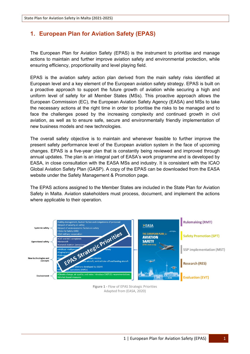# <span id="page-7-0"></span>**1. European Plan for Aviation Safety (EPAS)**

The European Plan for Aviation Safety (EPAS) is the instrument to prioritise and manage actions to maintain and further improve aviation safety and environmental protection, while ensuring efficiency, proportionality and level playing field.

EPAS is the aviation safety action plan derived from the main safety risks identified at European level and a key element of the European aviation safety strategy. EPAS is built on a proactive approach to support the future growth of aviation while securing a high and uniform level of safety for all Member States (MSs). This proactive approach allows the European Commission (EC), the European Aviation Safety Agency (EASA) and MSs to take the necessary actions at the right time in order to prioritise the risks to be managed and to face the challenges posed by the increasing complexity and continued growth in civil aviation, as well as to ensure safe, secure and environmentally friendly implementation of new business models and new technologies.

The overall safety objective is to maintain and whenever feasible to further improve the present safety performance level of the European aviation system in the face of upcoming changes. EPAS is a five-year plan that is constantly being reviewed and improved through annual updates. The plan is an integral part of EASA's work programme and is developed by EASA, in close consultation with the EASA MSs and industry. It is consistent with the ICAO Global Aviation Safety Plan (GASP). A copy of the EPAS can be downloaded from the EASA website under the Safety Management & Promotion page.

The EPAS actions assigned to the Member States are included in the State Plan for Aviation Safety in Malta. Aviation stakeholders must process, document, and implement the actions where applicable to their operation.



**Figure 1 -** Flow of EPAS Strategic Priorities Adapted from (EASA, 2020)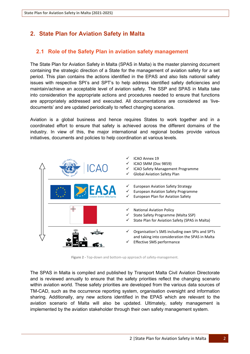# <span id="page-8-0"></span>**2. State Plan for Aviation Safety in Malta**

# <span id="page-8-1"></span>**2.1 Role of the Safety Plan in aviation safety management**

The State Plan for Aviation Safety in Malta (SPAS in Malta) is the master planning document containing the strategic direction of a State for the management of aviation safety for a set period. This plan contains the actions identified in the EPAS and also lists national safety issues with respective SPI's and SPT's to help address identified safety deficiencies and maintain/achieve an acceptable level of aviation safety. The SSP and SPAS in Malta take into consideration the appropriate actions and procedures needed to ensure that functions are appropriately addressed and executed. All documentations are considered as 'livedocuments' and are updated periodically to reflect changing scenarios.

Aviation is a global business and hence requires States to work together and in a coordinated effort to ensure that safety is achieved across the different domains of the industry. In view of this, the major international and regional bodies provide various initiatives, documents and policies to help coordination at various levels.



**Figure 2 -** Top-down and bottom-up approach of safety-management.

The SPAS in Malta is compiled and published by Transport Malta Civil Aviation Directorate and is reviewed annually to ensure that the safety priorities reflect the changing scenario within aviation world. These safety priorities are developed from the various data sources of TM-CAD, such as the occurrence reporting system, organisation oversight and information sharing. Additionally, any new actions identified in the EPAS which are relevant to the aviation scenario of Malta will also be updated. Ultimately, safety management is implemented by the aviation stakeholder through their own safety management system.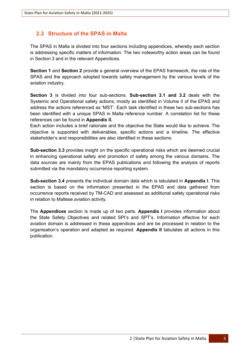# <span id="page-9-0"></span>**2.2 Structure of the SPAS in Malta**

The SPAS in Malta is divided into four sections including appendices, whereby each section is addressing specific matters of information. The two noteworthy action areas can be found in Section 3 and in the relevant Appendices.

**Section 1** and **Section 2** provide a general overview of the EPAS framework, the role of the SPAS and the approach adopted towards safety management by the various levels of the aviation industry.

**Section 3** is divided into four sub-sections. **Sub-section 3.1 and 3.2** deals with the Systemic and Operational safety actions, mostly as identified in Volume II of the EPAS and address the actions referenced as 'MST'. Each task identified in these two sub-sections has been identified with a unique SPAS in Malta reference number. A correlation list for these references can be found in **Appendix II.**

Each action includes a brief rationale and the objective the State would like to achieve. The objective is supported with deliverables, specific actions and a timeline. The effective stakeholder's and responsibilities are also identified in these sections.

**Sub-section 3.3** provides insight on the specific operational risks which are deemed crucial in enhancing operational safety and promotion of safety among the various domains. The data sources are mainly from the EPAS publications and following the analysis of reports submitted via the mandatory occurrence reporting system.

**Sub-section 3.4** presents the individual domain data which is tabulated in **Appendix I**. This section is based on the information presented in the EPAS and data gathered from occurrence reports received by TM-CAD and assessed as additional safety operational risks in relation to Maltese aviation activity.

The **Appendices** section is made up of two parts. **Appendix I** provides information about the State Safety Objectives and related SPI's and SPT's. Information effective for each aviation domain is addressed in these appendices and are be processed in relation to the organisation's operation and adapted as required. **Appendix II** tabulates all actions in this publication.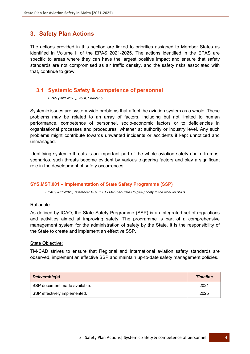# <span id="page-10-0"></span>**3. Safety Plan Actions**

The actions provided in this section are linked to priorities assigned to Member States as identified in Volume II of the EPAS 2021-2025. The actions identified in the EPAS are specific to areas where they can have the largest positive impact and ensure that safety standards are not compromised as air traffic density, and the safety risks associated with that, continue to grow.

# <span id="page-10-1"></span>**3.1 Systemic Safety & competence of personnel**

*EPAS (2021-2025), Vol II, Chapter 5*

Systemic issues are system-wide problems that affect the aviation system as a whole. These problems may be related to an array of factors, including but not limited to human performance, competence of personnel, socio-economic factors or to deficiencies in organisational processes and procedures, whether at authority or industry level. Any such problems might contribute towards unwanted incidents or accidents if kept unnoticed and unmanaged.

Identifying systemic threats is an important part of the whole aviation safety chain. In most scenarios, such threats become evident by various triggering factors and play a significant role in the development of safety occurrences.

# <span id="page-10-2"></span>**SYS.MST.001 – Implementation of State Safety Programme (SSP)**

*EPAS (2021-2025) reference: MST.0001 - Member States to give priority to the work on SSPs.*

#### Rationale:

As defined by ICAO, the State Safety Programme (SSP) is an integrated set of regulations and activities aimed at improving safety. The programme is part of a comprehensive management system for the administration of safety by the State. It is the responsibility of the State to create and implement an effective SSP.

#### State Objective:

TM-CAD strives to ensure that Regional and International aviation safety standards are observed, implement an effective SSP and maintain up-to-date safety management policies.

| Deliverable(s)               | <b>Timeline</b> |
|------------------------------|-----------------|
| SSP document made available. | 2021            |
| SSP effectively implemented. | 2025            |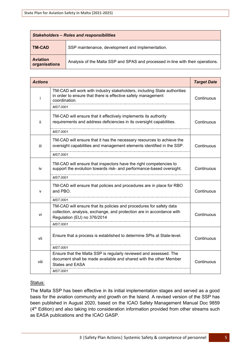| <b>Stakeholders - Roles and responsibilities</b> |                                                                                 |  |
|--------------------------------------------------|---------------------------------------------------------------------------------|--|
| <b>TM-CAD</b>                                    | SSP maintenance, development and implementation.                                |  |
| <b>Aviation</b><br>organisations                 | Analysis of the Malta SSP and SPAS and processed in-line with their operations. |  |

| <b>Actions</b> |                                                                                                                                                                             | <b>Target Date</b> |
|----------------|-----------------------------------------------------------------------------------------------------------------------------------------------------------------------------|--------------------|
| Ť              | TM-CAD will work with industry stakeholders, including State authorities<br>in order to ensure that there is effective safety management<br>coordination.                   | Continuous         |
|                | <b>MST.0001</b>                                                                                                                                                             |                    |
| ii.            | TM-CAD will ensure that it effectively implements its authority<br>requirements and address deficiencies in its oversight capabilities.                                     | Continuous         |
|                | <b>MST.0001</b>                                                                                                                                                             |                    |
| iii            | TM-CAD will ensure that it has the necessary resources to achieve the<br>oversight capabilities and management elements identified in the SSP.                              | Continuous         |
|                | <b>MST.0001</b>                                                                                                                                                             |                    |
| iv             | TM-CAD will ensure that inspectors have the right competencies to<br>support the evolution towards risk- and performance-based oversight.                                   | Continuous         |
|                | <b>MST.0001</b>                                                                                                                                                             |                    |
| v              | TM-CAD will ensure that policies and procedures are in place for RBO<br>and PBO.                                                                                            | Continuous         |
|                | <b>MST.0001</b>                                                                                                                                                             |                    |
| vi             | TM-CAD will ensure that its policies and procedures for safety data<br>collection, analysis, exchange, and protection are in accordance with<br>Regulation (EU) no 376/2014 | Continuous         |
|                | <b>MST.0001</b>                                                                                                                                                             |                    |
| vii            | Ensure that a process is established to determine SPIs at State-level.                                                                                                      | Continuous         |
|                | <b>MST.0001</b>                                                                                                                                                             |                    |
| viii           | Ensure that the Malta SSP is regularly reviewed and assessed. The<br>document shall be made available and shared with the other Member<br><b>States and EASA</b>            | Continuous         |
|                | <b>MST.0001</b>                                                                                                                                                             |                    |

The Malta SSP has been effective in its initial implementation stages and served as a good basis for the aviation community and growth on the Island. A revised version of the SSP has been published in August 2020, based on the ICAO Safety Management Manual Doc 9859 (4<sup>th</sup> Edition) and also taking into consideration information provided from other streams such as EASA publications and the ICAO GASP.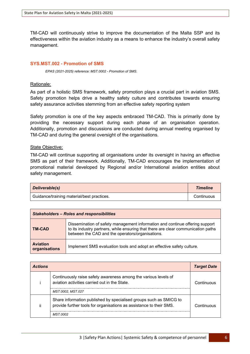TM-CAD will continuously strive to improve the documentation of the Malta SSP and its effectiveness within the aviation industry as a means to enhance the industry's overall safety management.

#### <span id="page-12-0"></span>**SYS.MST.002 - Promotion of SMS**

*EPAS (2021-2025) reference: MST.0002 - Promotion of SMS.*

#### Rationale:

As part of a holistic SMS framework, safety promotion plays a crucial part in aviation SMS. Safety promotion helps drive a healthy safety culture and contributes towards ensuring safety assurance activities stemming from an effective safety reporting system

Safety promotion is one of the key aspects embraced TM-CAD. This is primarily done by providing the necessary support during each phase of an organisation operation. Additionally, promotion and discussions are conducted during annual meeting organised by TM-CAD and during the general oversight of the organisations.

#### State Objective:

TM-CAD will continue supporting all organisations under its oversight in having an effective SMS as part of their framework. Additionally, TM-CAD encourages the implementation of promotional material developed by Regional and/or International aviation entities about safety management.

| Deliverable(s)                             | <b>Timeline</b> |
|--------------------------------------------|-----------------|
| Guidance/training material/best practices. | Continuous      |

| <b>Stakeholders - Roles and responsibilities</b> |                                                                                                                                                                                                                       |  |  |
|--------------------------------------------------|-----------------------------------------------------------------------------------------------------------------------------------------------------------------------------------------------------------------------|--|--|
| <b>TM-CAD</b>                                    | Dissemination of safety management information and continue offering support<br>to its industry partners, while ensuring that there are clear communication paths<br>between the CAD and the operators/organisations. |  |  |
| <b>Aviation</b><br>organisations                 | Implement SMS evaluation tools and adopt an effective safety culture.                                                                                                                                                 |  |  |

| <b>Actions</b> |                                                                                                                                                       | <b>Target Date</b> |
|----------------|-------------------------------------------------------------------------------------------------------------------------------------------------------|--------------------|
|                | Continuously raise safety awareness among the various levels of<br>aviation activities carried out in the State.<br>MST.0002. MST.027                 | Continuous         |
|                | Share information published by specialised groups such as SMICG to<br>provide further tools for organisations as assistance to their SMS.<br>MST 0002 | Continuous         |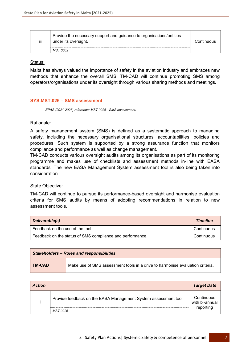| iii | Provide the necessary support and guidance to organisations/entities<br>under its oversight. | Continuous |
|-----|----------------------------------------------------------------------------------------------|------------|
|     | MST.0002                                                                                     |            |

Malta has always valued the importance of safety in the aviation industry and embraces new methods that enhance the overall SMS. TM-CAD will continue promoting SMS among operators/organisations under its oversight through various sharing methods and meetings.

#### <span id="page-13-0"></span>**SYS.MST.026 – SMS assessment**

*EPAS (2021-2025) reference: MST.0026 - SMS assessment.*

#### Rationale:

A safety management system (SMS) is defined as a systematic approach to managing safety, including the necessary organisational structures, accountabilities, policies and procedures. Such system is supported by a strong assurance function that monitors compliance and performance as well as change management.

TM-CAD conducts various oversight audits among its organisations as part of its monitoring programme and makes use of checklists and assessment methods in-line with EASA standards. The new EASA Management System assessment tool is also being taken into consideration.

#### State Objective:

TM-CAD will continue to pursue its performance-based oversight and harmonise evaluation criteria for SMS audits by means of adopting recommendations in relation to new assessment tools.

| Deliverable(s)                                            | <b>Timeline</b> |
|-----------------------------------------------------------|-----------------|
| Feedback on the use of the tool.                          | Continuous      |
| Feedback on the status of SMS compliance and performance. | Continuous      |

| <b>Stakeholders - Roles and responsibilities</b> |                                                                               |  |
|--------------------------------------------------|-------------------------------------------------------------------------------|--|
| TM-CAD                                           | Make use of SMS assessment tools in a drive to harmonise evaluation criteria. |  |

| <b>Action</b> |                                                                 | <b>Target Date</b>           |
|---------------|-----------------------------------------------------------------|------------------------------|
|               | Provide feedback on the EASA Management System assessment tool. | Continuous<br>with bi-annual |
|               | MST.0026                                                        | reporting                    |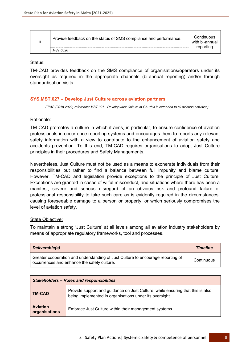| Provide feedback on the status of SMS compliance and performance. | Continuous<br>with bi-annual<br>reporting |
|-------------------------------------------------------------------|-------------------------------------------|
| MST.0026                                                          |                                           |

TM-CAD provides feedback on the SMS compliance of organisations/operators under its oversight as required in the appropriate channels (bi-annual reporting) and/or through standardisation visits.

# <span id="page-14-0"></span>**SYS.MST.027 – Develop Just Culture across aviation partners**

*EPAS (2018-2022) reference: MST.027 - Develop Just Culture in GA (this is extended to all aviation activities)*

# Rationale:

TM-CAD promotes a culture in which it aims, in particular, to ensure confidence of aviation professionals in occurrence reporting systems and encourages them to reports any relevant safety information with a view to contribute to the enhancement of aviation safety and accidents prevention. To this end, TM-CAD requires organisations to adopt Just Culture principles in their procedures and Safety Managements.

Nevertheless, Just Culture must not be used as a means to exonerate individuals from their responsibilities but rather to find a balance between full impunity and blame culture. However, TM-CAD and legislation provide exceptions to the principle of Just Culture. Exceptions are granted in cases of wilful misconduct, and situations where there has been a manifest, severe and serious disregard of an obvious risk and profound failure of professional responsibility to take such care as is evidently required in the circumstances, causing foreseeable damage to a person or property, or which seriously compromises the level of aviation safety.

#### State Objective:

To maintain a strong 'Just Culture' at all levels among all aviation industry stakeholders by means of appropriate regulatory frameworks, tool and processes.

| Deliverable(s)                                                                                                                 | <b>Timeline</b> |
|--------------------------------------------------------------------------------------------------------------------------------|-----------------|
| Greater cooperation and understanding of Just Culture to encourage reporting of<br>occurrences and enhance the safety culture. | Continuous      |

| <b>Stakeholders - Roles and responsibilities</b> |                                                                                                                                           |  |
|--------------------------------------------------|-------------------------------------------------------------------------------------------------------------------------------------------|--|
| <b>TM-CAD</b>                                    | Provide support and guidance on Just Culture, while ensuring that this is also<br>being implemented in organisations under its oversight. |  |
| <b>Aviation</b><br>organisations                 | Embrace Just Culture within their management systems.                                                                                     |  |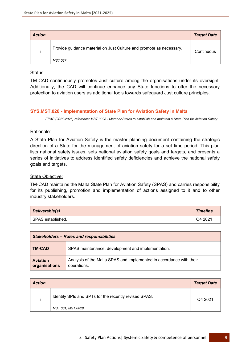| <b>Action</b> |                                                                     | <b>Target Date</b> |
|---------------|---------------------------------------------------------------------|--------------------|
|               | Provide guidance material on Just Culture and promote as necessary. | Continuous         |
|               | MST.027                                                             |                    |

TM-CAD continuously promotes Just culture among the organisations under its oversight. Additionally, the CAD will continue enhance any State functions to offer the necessary protection to aviation users as additional tools towards safeguard Just culture principles.

# <span id="page-15-0"></span>**SYS.MST.028 - Implementation of State Plan for Aviation Safety in Malta**

*EPAS (2021-2025) reference: MST.0028 - Member States to establish and maintain a State Plan for Aviation Safety.*

# Rationale:

A State Plan for Aviation Safety is the master planning document containing the strategic direction of a State for the management of aviation safety for a set time period. This plan lists national safety issues, sets national aviation safety goals and targets, and presents a series of initiatives to address identified safety deficiencies and achieve the national safety goals and targets.

#### State Objective:

TM-CAD maintains the Malta State Plan for Aviation Safety (SPAS) and carries responsibility for its publishing, promotion and implementation of actions assigned to it and to other industry stakeholders.

| Deliverable(s)    | <b>Timeline</b> |
|-------------------|-----------------|
| SPAS established. | Q4 2021         |

| <b>Stakeholders - Roles and responsibilities</b> |                                                                                    |  |
|--------------------------------------------------|------------------------------------------------------------------------------------|--|
| ∣ TM-CAD                                         | SPAS maintenance, development and implementation.                                  |  |
| <b>Aviation</b><br>organisations                 | Analysis of the Malta SPAS and implemented in accordance with their<br>operations. |  |

| <b>Action</b> |                                                       | <b>Target Date</b> |
|---------------|-------------------------------------------------------|--------------------|
|               | Identify SPIs and SPTs for the recently revised SPAS. | Q4 2021            |
|               | MST.001, MST.0028                                     |                    |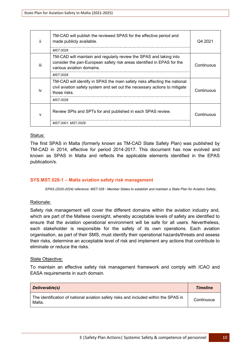| Ϊİ  | TM-CAD will publish the reviewed SPAS for the effective period and<br>made publicly available.<br>MST 0028                                                                | Q4 2021    |
|-----|---------------------------------------------------------------------------------------------------------------------------------------------------------------------------|------------|
| iii | TM-CAD will maintain and regularly review the SPAS and taking into<br>consider the pan-European safety risk areas identified in EPAS for the<br>various aviation domains. | Continuous |
|     | MST 0028                                                                                                                                                                  |            |
| iv  | TM-CAD will identify in SPAS the main safety risks affecting the national<br>civil aviation safety system and set out the necessary actions to mitigate<br>those risks.   | Continuous |
|     | <b>MST.0028</b>                                                                                                                                                           |            |
| v   | Review SPIs and SPTs for and published in each SPAS review.                                                                                                               | Continuous |
|     | MST.0001, MST.0028                                                                                                                                                        |            |

The first SPAS in Malta (formerly known as TM-CAD State Safety Plan) was published by TM-CAD in 2014, effective for period 2014-2017. This document has now evolved and known as SPAS in Malta and reflects the applicable elements identified in the EPAS publication/s.

# <span id="page-16-0"></span>**SYS.MST.028-1 – Malta aviation safety risk management**

*EPAS (2020-2024) reference: MST.028 - Member States to establish and maintain a State Plan for Aviation Safety.*

# Rationale:

Safety risk management will cover the different domains within the aviation industry and, which are part of the Maltese oversight, whereby acceptable levels of safety are identified to ensure that the aviation operational environment will be safe for all users. Nevertheless, each stakeholder is responsible for the safety of its own operations. Each aviation organisation, as part of their SMS, must identify their operational hazards/threats and assess their risks, determine an acceptable level of risk and implement any actions that contribute to eliminate or reduce the risks.

#### State Objective:

To maintain an effective safety risk management framework and comply with ICAO and EASA requirements in such domain.

| Deliverable(s)                                                                                 | <b>Timeline</b> |
|------------------------------------------------------------------------------------------------|-----------------|
| The identification of national aviation safety risks and included within the SPAS in<br>Malta. | Continuous      |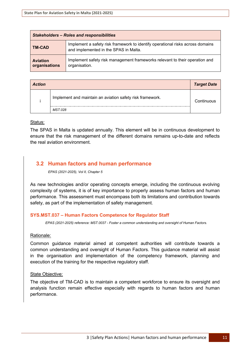| <b>Stakeholders - Roles and responsibilities</b> |                                                                                                                         |
|--------------------------------------------------|-------------------------------------------------------------------------------------------------------------------------|
| <b>TM-CAD</b>                                    | Implement a safety risk framework to identify operational risks across domains<br>and implemented in the SPAS in Malta. |
| <b>Aviation</b><br>organisations                 | Implement safety risk management frameworks relevant to their operation and<br>organisation.                            |

| <b>Action</b> |                                                           | <b>Target Date</b> |
|---------------|-----------------------------------------------------------|--------------------|
|               | Implement and maintain an aviation safety risk framework. | Continuous         |
|               | MST.028                                                   |                    |

The SPAS in Malta is updated annually. This element will be in continuous development to ensure that the risk management of the different domains remains up-to-date and reflects the real aviation environment.

# <span id="page-17-0"></span>**3.2 Human factors and human performance**

*EPAS (2021-2025), Vol II, Chapter 5*

As new technologies and/or operating concepts emerge, including the continuous evolving complexity of systems, it is of key importance to properly assess human factors and human performance. This assessment must encompass both its limitations and contribution towards safety, as part of the implementation of safety management.

# <span id="page-17-1"></span>**SYS.MST.037 – Human Factors Competence for Regulator Staff**

*EPAS (2021-2025) reference: MST.0037 - Foster a common understanding and oversight of Human Factors.*

# Rationale:

Common guidance material aimed at competent authorities will contribute towards a common understanding and oversight of Human Factors. This guidance material will assist in the organisation and implementation of the competency framework, planning and execution of the training for the respective regulatory staff.

# State Objective:

The objective of TM-CAD is to maintain a competent workforce to ensure its oversight and analysis function remain effective especially with regards to human factors and human performance.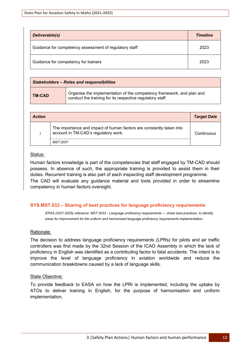| Deliverable(s)                                         | <b>Timeline</b> |
|--------------------------------------------------------|-----------------|
| Guidance for competency assessment of regulatory staff | 2023            |
| Guidance for competency for trainers                   | 2023            |

| <b>Stakeholders - Roles and responsibilities</b> |                                                                                                                                    |  |  |
|--------------------------------------------------|------------------------------------------------------------------------------------------------------------------------------------|--|--|
| <b>TM-CAD</b>                                    | Organise the implementation of the competency framework, and plan and<br>conduct the training for its respective regulatory staff. |  |  |

| <b>Action</b> |                                                                                                              | <b>Target Date</b> |
|---------------|--------------------------------------------------------------------------------------------------------------|--------------------|
|               | The importance and impact of human factors are constantly taken into<br>account in TM-CAD's regulatory work. | Continuous         |
|               | MST.0037                                                                                                     |                    |

Human factors knowledge is part of the competencies that staff engaged by TM-CAD should possess. In absence of such, the appropriate training is provided to assist them in their duties. Recurrent training is also part of each inspecting staff development programme. The CAD will evaluate any guidance material and tools provided in order to streamline competency in human factors oversight.

# <span id="page-18-0"></span>**SYS.MST.033 – Sharing of best practices for language proficiency requirements**

*EPAS (2021-2025) reference: MST.0033 - Language proficiency requirements — share best practices, to identify areas for improvement for the uniform and harmonised language proficiency requirements implementation.*

# Rationale:

The decision to address language proficiency requirements (LPRs) for pilots and air traffic controllers was first made by the 32nd Session of the ICAO Assembly in which the lack of proficiency in English was identified as a contributing factor to fatal accidents. The intent is to improve the level of language proficiency in aviation worldwide and reduce the communication breakdowns caused by a lack of language skills.

# State Objective:

To provide feedback to EASA on how the LPRI is implemented, including the uptake by ATOs to deliver training in English, for the purpose of harmonisation and uniform implementation.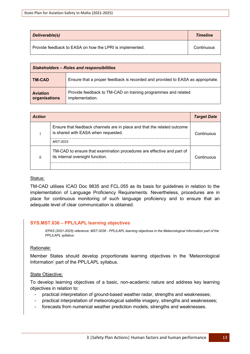| Deliverable(s)                                           | <b>Timeline</b> |
|----------------------------------------------------------|-----------------|
| Provide feedback to EASA on how the LPRI is implemented. | Continuous      |

| <b>Stakeholders - Roles and responsibilities</b> |                                                                                  |  |
|--------------------------------------------------|----------------------------------------------------------------------------------|--|
| <b>TM-CAD</b>                                    | Ensure that a proper feedback is recorded and provided to EASA as appropriate.   |  |
| <b>Aviation</b><br>organisations                 | Provide feedback to TM-CAD on training programmes and related<br>implementation. |  |

| <b>Action</b> |                                                                                                                            | <b>Target Date</b> |
|---------------|----------------------------------------------------------------------------------------------------------------------------|--------------------|
|               | Ensure that feedback channels are in place and that the related outcome<br>is shared with EASA when requested.<br>MST.0033 | Continuous         |
| п             | TM-CAD to ensure that examination procedures are effective and part of<br>its internal oversight function.                 | Continuous         |

TM-CAD utilises ICAO Doc 9835 and FCL.055 as its basis for guidelines in relation to the implementation of Language Proficiency Requirements. Nevertheless, procedures are in place for continuous monitoring of such language proficiency and to ensure that an adequate level of clear communication is obtained.

# <span id="page-19-0"></span>**SYS.MST.036 – PPL/LAPL learning objectives**

*EPAS (2021-2025) reference: MST.0036 - PPL/LAPL learning objectives in the Meteorological Information part of the PPL/LAPL syllabus.*

# Rationale:

Member States should develop proportionate learning objectives in the 'Meteorological Information' part of the PPL/LAPL syllabus.

# State Objective:

To develop learning objectives of a basic, non-academic nature and address key learning objectives in relation to:

- practical interpretation of ground-based weather radar, strengths and weaknesses;
- practical interpretation of meteorological satellite imagery, strengths and weaknesses;
- forecasts from numerical weather prediction models, strengths and weaknesses.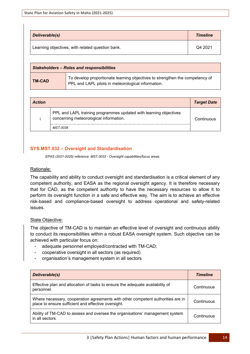| Deliverable(s)                                   | <b>Timeline</b> |
|--------------------------------------------------|-----------------|
| Learning objectives, with related question bank. | Q4 2021         |

| <b>Stakeholders - Roles and responsibilities</b> |                                                                                                                                    |  |
|--------------------------------------------------|------------------------------------------------------------------------------------------------------------------------------------|--|
| <b>TM-CAD</b>                                    | To develop proportionate learning objectives to strengthen the competency of<br>PPL and LAPL pilots in meteorological information. |  |

| <b>Action</b> |                                                                                                                         | <b>Target Date</b> |
|---------------|-------------------------------------------------------------------------------------------------------------------------|--------------------|
|               | PPL and LAPL training programmes updated with learning objectives<br>concerning meteorological information.<br>MST.0036 | Continuous         |

# <span id="page-20-0"></span>**SYS.MST.032 – Oversight and Standardisation**

*EPAS (2021-2025) reference: MST.0032 - Oversight capabilities/focus areas.*

# Rationale:

The capability and ability to conduct oversight and standardisation is a critical element of any competent authority, and EASA as the regional oversight agency. It is therefore necessary that for CAD, as the competent authority to have the necessary resources to allow it to perform its oversight function in a safe and effective way. The aim is to achieve an effective risk-based and compliance-based oversight to address operational and safety-related issues.

# State Objective:

The objective of TM-CAD is to maintain an effective level of oversight and continuous ability to conduct its responsibilities within a robust EASA oversight system. Such objective can be achieved with particular focus on:

- adequate personnel employed/contracted with TM-CAD;
- cooperative oversight in all sectors (as required)
- organisation's management system in all sectors

| <b>Deliverable(s)</b>                                                                                                                  | <b>Timeline</b> |
|----------------------------------------------------------------------------------------------------------------------------------------|-----------------|
| Effective plan and allocation of tasks to ensure the adequate availability of<br>personnel.                                            | Continuous      |
| Where necessary, cooperation agreements with other competent authorities are in<br>place to ensure sufficient and effective oversight. | Continuous      |
| Ability of TM-CAD to assess and oversee the organisations' management system<br>in all sectors                                         | Continuous      |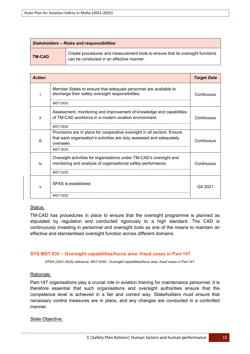| <b>Stakeholders - Roles and responsibilities</b> |                                                                                                                            |  |
|--------------------------------------------------|----------------------------------------------------------------------------------------------------------------------------|--|
| <b>TM-CAD</b>                                    | Create procedures and measurement tools to ensure that its oversight functions<br>can be conducted in an effective manner. |  |

| <b>Action</b> |                                                                                                                                      | <b>Target Date</b> |
|---------------|--------------------------------------------------------------------------------------------------------------------------------------|--------------------|
|               | Member States to ensure that adequate personnel are available to<br>discharge their safety oversight responsibilities.               | Continuous         |
|               | MST.0032                                                                                                                             |                    |
| ii.           | Assessment, monitoring and improvement of knowledge and capabilities                                                                 |                    |
|               | of TM-CAD workforce in a modern aviation environment.                                                                                | Continuous         |
|               | MST.0032                                                                                                                             |                    |
|               | Provisions are in place for cooperative oversight in all sectors. Ensure                                                             |                    |
| iii           | that each organisation's activities are duly assessed and adequately<br>overseen.                                                    | Continuous         |
|               | <b>MST.0032</b>                                                                                                                      |                    |
| iv            | Oversight activities for organisations under TM-CAD's oversight and<br>monitoring and analysis of organisational safety performance. | Continuous         |
|               | MST.0032                                                                                                                             |                    |
| v             | SPAS is established.                                                                                                                 | Q4 2021            |
|               | <b>MST.0032</b>                                                                                                                      |                    |

TM-CAD has procedures in place to ensure that the oversight programme is planned as stipulated by regulation and conducted rigorously to a high standard. The CAD is continuously investing in personnel and oversight tools as one of the means to maintain an effective and standardised oversight function across different domains.

# <span id="page-21-0"></span>**SYS.MST.035 – Oversight capabilities/focus area: fraud cases in Part-147**

*EPAS (2021-2025) reference: MST.0035 - Oversight capabilities/focus area: fraud cases in Part-147.*

# Rationale:

Part-147 organisations play a crucial role in aviation training for maintenance personnel. It is therefore essential that such organisations and oversight authorities ensure that the competence level is achieved in a fair and correct way. Stakeholders must ensure that necessary control measures are in place, and any changes are conducted in a controlled manner.

#### State Objective: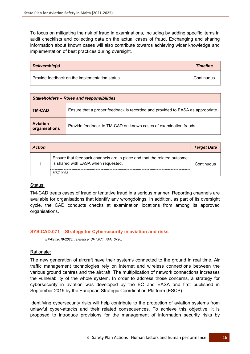To focus on mitigating the risk of fraud in examinations, including by adding specific items in audit checklists and collecting data on the actual cases of fraud. Exchanging and sharing information about known cases will also contribute towards achieving wider knowledge and implementation of best practices during oversight.

| Deliverable(s)                                 | <b>Timeline</b> |
|------------------------------------------------|-----------------|
| Provide feedback on the implementation status. | Continuous      |

| <b>Stakeholders - Roles and responsibilities</b> |                                                                                |  |
|--------------------------------------------------|--------------------------------------------------------------------------------|--|
| ∣ TM-CAD                                         | Ensure that a proper feedback is recorded and provided to EASA as appropriate. |  |
| <b>Aviation</b><br>organisations                 | Provide feedback to TM-CAD on known cases of examination frauds.               |  |

| <b>Action</b> |                                                                                                                | <b>Target Date</b> |
|---------------|----------------------------------------------------------------------------------------------------------------|--------------------|
|               | Ensure that feedback channels are in place and that the related outcome<br>is shared with EASA when requested. | Continuous         |
|               | MST.0035                                                                                                       |                    |

#### Status:

TM-CAD treats cases of fraud or tentative fraud in a serious manner. Reporting channels are available for organisations that identify any wrongdoings. In addition, as part of its oversight cycle, the CAD conducts checks at examination locations from among its approved organisations.

# <span id="page-22-0"></span>**SYS.CAD.071 – Strategy for Cybersecurity in aviation and risks**

*EPAS (2019-2023) reference: SPT.071, RMT.0720.*

# Rationale:

The new generation of aircraft have their systems connected to the ground in real time. Air traffic management technologies rely on internet and wireless connections between the various ground centres and the aircraft. The multiplication of network connections increases the vulnerability of the whole system. In order to address those concerns, a strategy for cybersecurity in aviation was developed by the EC and EASA and first published in September 2019 by the European Strategic Coordination Platform (ESCP).

Identifying cybersecurity risks will help contribute to the protection of aviation systems from unlawful cyber-attacks and their related consequences. To achieve this objective, it is proposed to introduce provisions for the management of information security risks by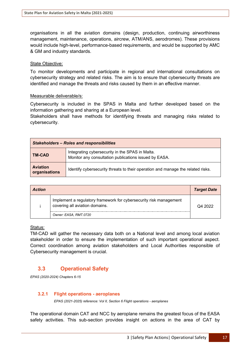organisations in all the aviation domains (design, production, continuing airworthiness management, maintenance, operations, aircrew, ATM/ANS, aerodromes). These provisions would include high-level, performance-based requirements, and would be supported by AMC & GM and industry standards.

#### State Objective:

To monitor developments and participate in regional and international consultations on cybersecurity strategy and related risks. The aim is to ensure that cybersecurity threats are identified and manage the threats and risks caused by them in an effective manner.

#### Measurable deliverable/s:

Cybersecurity is included in the SPAS in Malta and further developed based on the information gathering and sharing at a European level.

Stakeholders shall have methods for identifying threats and managing risks related to cybersecurity.

| <b>Stakeholders - Roles and responsibilities</b> |                                                                                                          |  |
|--------------------------------------------------|----------------------------------------------------------------------------------------------------------|--|
| <b>TM-CAD</b>                                    | Integrating cybersecurity in the SPAS in Malta.<br>Monitor any consultation publications issued by EASA. |  |
| <b>Aviation</b><br>organisations                 | Identify cybersecurity threats to their operation and manage the related risks.                          |  |

| <b>Action</b> |                                                                                                                               | <b>Target Date</b> |
|---------------|-------------------------------------------------------------------------------------------------------------------------------|--------------------|
|               | Implement a regulatory framework for cybersecurity risk management<br>covering all aviation domains.<br>Owner: EASA, RMT.0720 | Q4 2022            |

#### Status:

TM-CAD will gather the necessary data both on a National level and among local aviation stakeholder in order to ensure the implementation of such important operational aspect. Correct coordination among aviation stakeholders and Local Authorities responsible of Cybersecurity management is crucial.

# <span id="page-23-0"></span>**3.3 Operational Safety**

*EPAS (2020-2024) Chapters 6-15* 

# <span id="page-23-1"></span>**3.2.1 Flight operations - aeroplanes**

*EPAS (2021-2025) reference: Vol II, Section 6 Flight operations - aeroplanes*

The operational domain CAT and NCC by aeroplane remains the greatest focus of the EASA safety activities. This sub-section provides insight on actions in the area of CAT by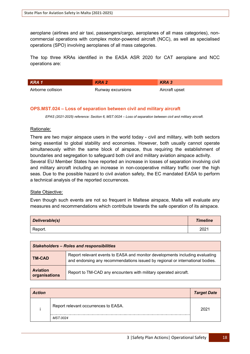aeroplane (airlines and air taxi, passengers/cargo, aeroplanes of all mass categories), noncommercial operations with complex motor-powered aircraft (NCC), as well as specialised operations (SPO) involving aeroplanes of all mass categories.

The top three KRAs identified in the EASA ASR 2020 for CAT aeroplane and NCC operations are:

| KRA 1              | KRA <sub>2</sub>  | KRA 3          |
|--------------------|-------------------|----------------|
| Airborne collision | Runway excursions | Aircraft upset |

# <span id="page-24-0"></span>**OPS.MST.024 – Loss of separation between civil and military aircraft**

*EPAS (2021-2025) reference: Section 6, MST.0024 – Loss of separation between civil and military aircraft.*

#### Rationale:

There are two major airspace users in the world today - civil and military, with both sectors being essential to global stability and economies. However, both usually cannot operate simultaneously within the same block of airspace, thus requiring the establishment of boundaries and segregation to safeguard both civil and military aviation airspace activity. Several EU Member States have reported an increase in losses of separation involving civil and military aircraft including an increase in non-cooperative military traffic over the high seas. Due to the possible hazard to civil aviation safety, the EC mandated EASA to perform a technical analysis of the reported occurrences.

#### State Objective:

Even though such events are not so frequent in Maltese airspace, Malta will evaluate any measures and recommendations which contribute towards the safe operation of its airspace.

| Deliverable(s) | <b>Timeline</b> |
|----------------|-----------------|
| Report.        | 2021            |

| <b>Stakeholders - Roles and responsibilities</b> |                                                                                                                                                               |  |
|--------------------------------------------------|---------------------------------------------------------------------------------------------------------------------------------------------------------------|--|
| <b>TM-CAD</b>                                    | Report relevant events to EASA and monitor developments including evaluating<br>and endorsing any recommendations issued by regional or international bodies. |  |
| <b>Aviation</b><br>organisations                 | Report to TM-CAD any encounters with military operated aircraft.                                                                                              |  |

| <b>Action</b> |                                      | <b>Target Date</b> |
|---------------|--------------------------------------|--------------------|
|               | Report relevant occurrences to EASA. | 2021               |
|               | MST.0024                             |                    |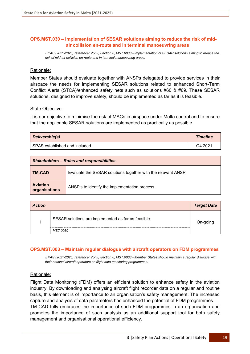# <span id="page-25-0"></span>**OPS.MST.030 – Implementation of SESAR solutions aiming to reduce the risk of midair collision en-route and in terminal manoeuvring areas**

*EPAS (2021-2025) reference: Vol II, Section 6, MST.0030 - Implementation of SESAR solutions aiming to reduce the risk of mid-air collision en-route and in terminal manoeuvring areas.*

#### Rationale:

Member States should evaluate together with ANSPs delegated to provide services in their airspace the needs for implementing SESAR solutions related to enhanced Short-Term Conflict Alerts (STCA)/enhanced safety nets such as solutions #60 & #69. These SESAR solutions, designed to improve safety, should be implemented as far as it is feasible.

#### State Objective:

It is our objective to minimise the risk of MACs in airspace under Malta control and to ensure that the applicable SESAR solutions are implemented as practically as possible.

| Deliverable(s)                 | <b>Timeline</b> |
|--------------------------------|-----------------|
| SPAS established and included. | Q4 2021         |

| <b>Stakeholders - Roles and responsibilities</b> |                                                               |  |
|--------------------------------------------------|---------------------------------------------------------------|--|
| I TM-CAD                                         | Evaluate the SESAR solutions together with the relevant ANSP. |  |
| <b>Aviation</b><br>organisations                 | ANSP's to identify the implementation process.                |  |

| <b>Action</b> |                                                     | <b>Target Date</b> |
|---------------|-----------------------------------------------------|--------------------|
|               | SESAR solutions are implemented as far as feasible. | On-going           |
|               | MST.0030                                            |                    |

# <span id="page-25-1"></span>**OPS.MST.003 – Maintain regular dialogue with aircraft operators on FDM programmes**

*EPAS (2021-2025) reference: Vol II, Section 6, MST.0003 - Member States should maintain a regular dialogue with their national aircraft operators on flight data monitoring programmes.*

#### Rationale:

Flight Data Monitoring (FDM) offers an efficient solution to enhance safety in the aviation industry. By downloading and analysing aircraft flight recorder data on a regular and routine basis, this element is of importance to an organisation's safety management. The increased capture and analysis of data parameters has enhanced the potential of FDM programmes. TM-CAD fully embraces the importance of such FDM programmes in an organisation and promotes the importance of such analysis as an additional support tool for both safety management and organisational operational efficiency.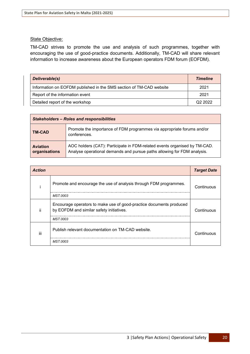#### State Objective:

TM-CAD strives to promote the use and analysis of such programmes, together with encouraging the use of good-practice documents. Additionally, TM-CAD will share relevant information to increase awareness about the European operators FDM forum (EOFDM).

| Deliverable(s)                                                      | <b>Timeline</b>     |
|---------------------------------------------------------------------|---------------------|
| Information on EOFDM published in the SMS section of TM-CAD website | 2021                |
| Report of the information event                                     | 2021                |
| Detailed report of the workshop                                     | Q <sub>2</sub> 2022 |

| <b>Stakeholders - Roles and responsibilities</b> |                                                                                                                                                      |  |
|--------------------------------------------------|------------------------------------------------------------------------------------------------------------------------------------------------------|--|
| <b>TM-CAD</b>                                    | Promote the importance of FDM programmes via appropriate forums and/or<br>conferences.                                                               |  |
| <b>Aviation</b><br>organisations                 | AOC holders (CAT): Participate in FDM-related events organised by TM-CAD.<br>Analyse operational demands and pursue paths allowing for FDM analysis. |  |

| <b>Action</b> |                                                                                                                 | <b>Target Date</b> |
|---------------|-----------------------------------------------------------------------------------------------------------------|--------------------|
|               | Promote and encourage the use of analysis through FDM programmes.                                               | Continuous         |
|               | MST.0003                                                                                                        |                    |
| ji            | Encourage operators to make use of good-practice documents produced<br>by EOFDM and similar safety initiatives. | Continuous         |
|               | MST.0003                                                                                                        |                    |
| iii           | Publish relevant documentation on TM-CAD website.                                                               | Continuous         |
|               | MST 0003                                                                                                        |                    |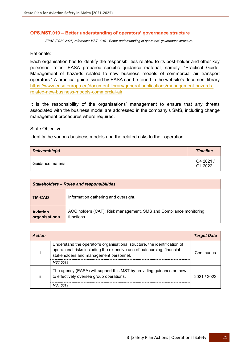#### <span id="page-27-0"></span>**OPS.MST.019 – Better understanding of operators' governance structure**

*EPAS (2021-2025) reference: MST.0019 - Better understanding of operators' governance structure.*

#### Rationale:

Each organisation has to identify the responsibilities related to its post-holder and other key personnel roles. EASA prepared specific guidance material, namely: "Practical Guide: Management of hazards related to new business models of commercial air transport operators." A practical guide issued by EASA can be found in the website's document library [https://www.easa.europa.eu/document-library/general-publications/management-hazards](https://www.easa.europa.eu/document-library/general-publications/management-hazards-related-new-business-models-commercial-air)[related-new-business-models-commercial-air](https://www.easa.europa.eu/document-library/general-publications/management-hazards-related-new-business-models-commercial-air)

It is the responsibility of the organisations' management to ensure that any threats associated with the business model are addressed in the company's SMS, including change management procedures where required.

#### State Objective:

Identify the various business models and the related risks to their operation.

| Deliverable(s)     | <b>Timeline</b>     |
|--------------------|---------------------|
| Guidance material. | Q4 2021,<br>Q1 2022 |

| <b>Stakeholders - Roles and responsibilities</b> |                                                                                 |  |
|--------------------------------------------------|---------------------------------------------------------------------------------|--|
| <b>TM-CAD</b>                                    | Information gathering and oversight.                                            |  |
| <b>Aviation</b><br>organisations                 | AOC holders (CAT): Risk management, SMS and Compliance monitoring<br>functions. |  |

| <b>Action</b> |                                                                                                                                                                                                | <b>Target Date</b> |
|---------------|------------------------------------------------------------------------------------------------------------------------------------------------------------------------------------------------|--------------------|
|               | Understand the operator's organisational structure, the identification of<br>operational risks including the extensive use of outsourcing, financial<br>stakeholders and management personnel. | Continuous         |
|               | MST 0019                                                                                                                                                                                       |                    |
|               | The agency (EASA) will support this MST by providing guidance on how<br>to effectively oversee group operations.                                                                               | 2021/2022          |
|               | MST 0019                                                                                                                                                                                       |                    |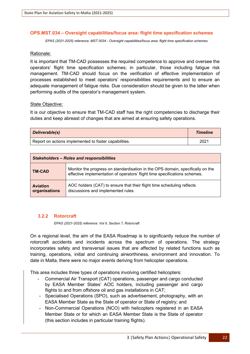#### <span id="page-28-0"></span>**OPS.MST.034 – Oversight capabilities/focus area: flight time specification schemes**

*EPAS (2021-2025) reference: MST.0034 - Oversight capabilities/focus area: flight time specification schemes.*

#### Rationale:

It is important that TM-CAD possesses the required competence to approve and oversee the operators' flight time specification schemes; in particular, those including fatigue risk management. TM-CAD should focus on the verification of effective implementation of processes established to meet operators' responsibilities requirements and to ensure an adequate management of fatigue risks. Due consideration should be given to the latter when performing audits of the operator's management system.

#### State Objective:

It is our objective to ensure that TM-CAD staff has the right competencies to discharge their duties and keep abreast of changes that are aimed at ensuring safety operations.

| Deliverable(s)                                        | <b>Timeline</b> |
|-------------------------------------------------------|-----------------|
| Report on actions implemented to foster capabilities. | 2021            |

| <b>Stakeholders - Roles and responsibilities</b> |                                                                                                                                                              |  |
|--------------------------------------------------|--------------------------------------------------------------------------------------------------------------------------------------------------------------|--|
| <b>TM-CAD</b>                                    | Monitor the progress on standardisation in the OPS domain, specifically on the<br>effective implementation of operators' flight time specifications schemes. |  |
| <b>Aviation</b><br>organisations                 | AOC holders (CAT) to ensure that their flight time scheduling reflects<br>discussions and implemented rules.                                                 |  |

# <span id="page-28-1"></span>**3.2.2 Rotorcraft**

*EPAS (2021-2025) reference: Vol II, Section 7, Rotorcraft*

On a regional level, the aim of the EASA Roadmap is to significantly reduce the number of rotorcraft accidents and incidents across the spectrum of operations. The strategy incorporates safety and transversal issues that are affected by related functions such as training, operations, initial and continuing airworthiness, environment and innovation. To date in Malta, there were no major events deriving from helicopter operations.

This area includes three types of operations involving certified helicopters:

- Commercial Air Transport (CAT) operations, passenger and cargo conducted by EASA Member States' AOC holders, including passenger and cargo flights to and from offshore oil and gas installations in CAT;
- Specialised Operations (SPO), such as advertisement, photography, with an EASA Member State as the State of operator or State of registry; and
- Non-Commercial Operations (NCO) with helicopters registered in an EASA Member State or for which an EASA Member State is the State of operator (this section includes in particular training flights).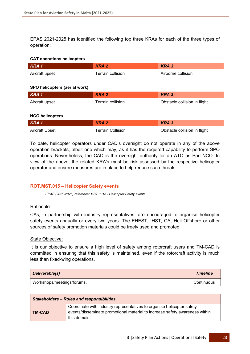EPAS 2021-2025 has identified the following top three KRAs for each of the three types of operation:

#### **CAT operations helicopters**

| KRA <sub>1</sub>              | <b>KRA2</b>              | <b>KRA3</b>                  |  |
|-------------------------------|--------------------------|------------------------------|--|
| Aircraft upset                | <b>Terrain collision</b> | Airborne collision           |  |
|                               |                          |                              |  |
| SPO helicopters (aerial work) |                          |                              |  |
| KRA <sub>1</sub>              | <b>KRA2</b>              | <b>KRA3</b>                  |  |
| Aircraft upset                | Terrain collision        | Obstacle collision in flight |  |
|                               |                          |                              |  |
| <b>NCO helicopters</b>        |                          |                              |  |
| KRA <sub>1</sub>              | <b>KRA2</b>              | <b>KRA3</b>                  |  |
| Aircraft Upset                | <b>Terrain Collision</b> | Obstacle collision in flight |  |

To date, helicopter operators under CAD's oversight do not operate in any of the above operation brackets, albeit one which may, as it has the required capability to perform SPO operations. Nevertheless, the CAD is the oversight authority for an ATO as Part-NCO. In view of the above, the related KRA's must be risk assessed by the respective helicopter operator and ensure measures are in place to help reduce such threats.

# <span id="page-29-0"></span>**ROT.MST.015 – Helicopter Safety events**

*EPAS (2021-2025) reference: MST.0015 - Helicopter Safety events.*

#### Rationale:

CAs, in partnership with industry representatives, are encouraged to organise helicopter safety events annually or every two years. The EHEST, IHST, CA, Heli Offshore or other sources of safety promotion materials could be freely used and promoted.

#### State Objective:

It is our objective to ensure a high level of safety among rotorcraft users and TM-CAD is committed in ensuring that this safety is maintained, even if the rotorcraft activity is much less than fixed-wing operations.

| Deliverable(s)             | <b>Timeline</b> |
|----------------------------|-----------------|
| Workshops/meetings/forums. | Continuous      |

| <b>Stakeholders - Roles and responsibilities</b> |                                                                                                                                                                       |  |
|--------------------------------------------------|-----------------------------------------------------------------------------------------------------------------------------------------------------------------------|--|
| <b>TM-CAD</b>                                    | Coordinate with industry representatives to organise helicopter safety<br>events/disseminate promotional material to increase safety awareness within<br>this domain. |  |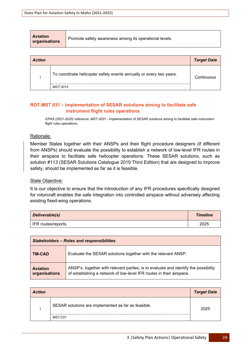| <b>Aviation</b><br>organisations | Promote safety awareness among its operational levels. |
|----------------------------------|--------------------------------------------------------|
|----------------------------------|--------------------------------------------------------|

| <b>Action</b> |                                                                     | <b>Target Date</b> |
|---------------|---------------------------------------------------------------------|--------------------|
|               | To coordinate helicopter safety events annually or every two years. | Continuous         |
|               | MST.0015                                                            |                    |

# <span id="page-30-0"></span>**ROT.MST.031 – Implementation of SESAR solutions aiming to facilitate safe instrument flight rules operations**

*EPAS (2021-2025) reference: MST.0031 - Implementation of SESAR solutions aiming to facilitate safe instrument flight rules operations.*

# Rationale:

Member States together with their ANSPs and their flight procedure designers (if different from ANSPs) should evaluate the possibility to establish a network of low-level IFR routes in their airspace to facilitate safe helicopter operations. These SESAR solutions, such as solution #113 (SESAR Solutions Catalogue 2019 Third Edition) that are designed to improve safety, should be implemented as far as it is feasible.

# State Objective:

It is our objective to ensure that the introduction of any IFR procedures specifically designed for rotorcraft enables the safe integration into controlled airspace without adversely affecting existing fixed-wing operations.

| Deliverable(s)      | <b>Timeline</b> |
|---------------------|-----------------|
| IFR routes/reports. | 2025            |

| <b>Stakeholders - Roles and responsibilities</b> |                                                                                                                                                             |
|--------------------------------------------------|-------------------------------------------------------------------------------------------------------------------------------------------------------------|
| <b>TM-CAD</b>                                    | Evaluate the SESAR solutions together with the relevant ANSP.                                                                                               |
| <b>Aviation</b><br>organisations                 | ANSP's, together with relevant parties, is to evaluate and identify the possibility<br>of establishing a network of low-level IFR routes in their airspace. |

| <b>Action</b> |                                                     | <b>Target Date</b> |
|---------------|-----------------------------------------------------|--------------------|
|               | SESAR solutions are implemented as far as feasible. | 2025               |
|               | MST.031                                             |                    |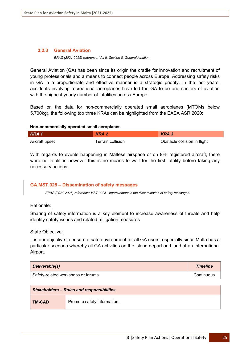# <span id="page-31-0"></span>**3.2.3 General Aviation**

*EPAS (2021-2025) reference: Vol II, Section 8, General Aviation*

General Aviation (GA) has been since its origin the cradle for innovation and recruitment of young professionals and a means to connect people across Europe. Addressing safety risks in GA in a proportionate and effective manner is a strategic priority. In the last years, accidents involving recreational aeroplanes have led the GA to be one sectors of aviation with the highest yearly number of fatalities across Europe.

Based on the data for non-commercially operated small aeroplanes (MTOMs below 5,700kg), the following top three KRAs can be highlighted from the EASA ASR 2020:

#### **Non-commercially operated small aeroplanes**

| KRA 1          | KRA <sub>2</sub>  | KRA 3                        |
|----------------|-------------------|------------------------------|
| Aircraft upset | Terrain collision | Obstacle collision in flight |

With regards to events happening in Maltese airspace or on 9H- registered aircraft, there were no fatalities however this is no means to wait for the first fatality before taking any necessary actions.

# <span id="page-31-1"></span>**GA.MST.025 – Dissemination of safety messages**

*EPAS (2021-2025) reference: MST.0025 - Improvement in the dissemination of safety messages.*

# Rationale:

Sharing of safety information is a key element to increase awareness of threats and help identify safety issues and related mitigation measures.

# State Objective:

It is our objective to ensure a safe environment for all GA users, especially since Malta has a particular scenario whereby all GA activities on the island depart and land at an International Airport.

| Deliverable(s)                      | <b>Timeline</b> |
|-------------------------------------|-----------------|
| Safety-related workshops or forums. | Continuous      |

| <b>Stakeholders - Roles and responsibilities</b> |                             |  |
|--------------------------------------------------|-----------------------------|--|
| TM-CAD                                           | Promote safety information. |  |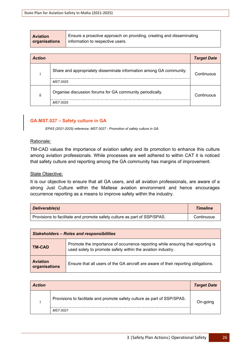| <b>Aviation</b> | Ensure a proactive approach on providing, creating and disseminating |
|-----------------|----------------------------------------------------------------------|
| organisations   | information to respective users.                                     |
|                 |                                                                      |

| <b>Action</b> |                                                                     | <b>Target Date</b> |
|---------------|---------------------------------------------------------------------|--------------------|
|               | Share and appropriately disseminate information among GA community. | Continuous         |
|               | MST 0025                                                            |                    |
| $\cdot$<br>Ħ  | Organise discussion forums for GA community periodically.           | Continuous         |
|               | MST 0025                                                            |                    |

# <span id="page-32-0"></span>**GA.MST.027 – Safety culture in GA**

*EPAS (2021-2025) reference: MST.0027 - Promotion of safety culture in GA.*

#### Rationale:

TM-CAD values the importance of aviation safety and its promotion to enhance this culture among aviation professionals. While processes are well adhered to within CAT it is noticed that safety culture and reporting among the GA community has margins of improvement.

#### State Objective:

It is our objective to ensure that all GA users, and all aviation professionals, are aware of a strong Just Culture within the Maltese aviation environment and hence encourages occurrence reporting as a means to improve safety within the industry.

| Deliverable(s)                                                           | <b>Timeline</b> |
|--------------------------------------------------------------------------|-----------------|
| Provisions to facilitate and promote safety culture as part of SSP/SPAS. | Continuous      |

| <b>Stakeholders - Roles and responsibilities</b> |                                                                                                                                                |
|--------------------------------------------------|------------------------------------------------------------------------------------------------------------------------------------------------|
| TM-CAD                                           | Promote the importance of occurrence reporting while ensuring that reporting is<br>used solely to promote safety within the aviation industry. |
| <b>Aviation</b><br>organisations                 | Ensure that all users of the GA aircraft are aware of their reporting obligations.                                                             |

| <b>Action</b> |                                                                          | <b>Target Date</b> |
|---------------|--------------------------------------------------------------------------|--------------------|
|               | Provisions to facilitate and promote safety culture as part of SSP/SPAS. | On-going           |
|               | MST.0027                                                                 |                    |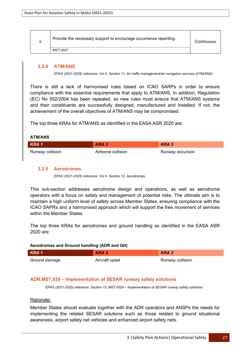| $\cdot$ | Provide the necessary support to encourage occurrence reporting. | Continuous |
|---------|------------------------------------------------------------------|------------|
|         | MST.0027                                                         |            |

#### <span id="page-33-0"></span>**3.2.4 ATM/ANS**

*EPAS (2021-2025) reference: Vol II, Section 11, Air traffic management/air navigation services (ATM/ANS).*

There is still a lack of harmonised rules based on ICAO SARPs in order to ensure compliance with the essential requirements that apply to ATM/ANS. In addition, Regulation (EC) No 552/2004 has been repealed, so new rules must ensure that ATM/ANS systems and their constituents are successfully designed, manufactured and installed. If not, the achievement of the overall objectives of ATM/ANS may be compromised.

The top three KRAs for ATM/ANS as identified in the EASA ASR 2020 are:

#### **ATM/ANS**

| KRA1             | KRA 2              | KRA 3            |
|------------------|--------------------|------------------|
| Runway collision | Airborne collision | Runway excursion |

#### <span id="page-33-1"></span>**3.2.5 Aerodromes**

*EPAS (2021-2025) reference: Vol II, Section 12, Aerodromes.*

This sub-section addresses aerodrome design and operations, as well as aerodrome operators with a focus on safety and management of potential risks. The ultimate aim is to maintain a high uniform level of safety across Member States, ensuring compliance with the ICAO SAPRs and a harmonised approach which will support the free movement of services within the Member States.

The top three KRAs for aerodromes and ground handling as identified in the EASA ASR 2020 are:

#### **Aerodromes and Ground handling (ADR and GH)**

| KRA 1         | KRA 2          | KRA 3            |
|---------------|----------------|------------------|
| Ground damage | Aircraft upset | Runway collision |

#### <span id="page-33-2"></span>**ADR.MST.029 – Implementation of SESAR runway safety solutions**

*EPAS (2021-2025) reference: Section 12, MST.0029 – Implementation of SESAR runway safety solutions.* 

#### Rationale:

Member States should evaluate together with the ADR operators and ANSPs the needs for implementing the related SESAR solutions such as those related to ground situational awareness, airport safety net vehicles and enhanced airport safety nets.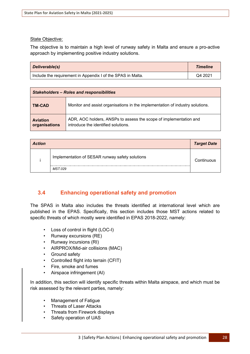#### State Objective:

The objective is to maintain a high level of runway safety in Malta and ensure a pro-active approach by implementing positive industry solutions.

| Deliverable(s)                                              | <b>Timeline</b> |
|-------------------------------------------------------------|-----------------|
| Include the requirement in Appendix I of the SPAS in Malta. | Q4 2021         |

| <b>Stakeholders - Roles and responsibilities</b> |                                                                                                          |
|--------------------------------------------------|----------------------------------------------------------------------------------------------------------|
| <b>TM-CAD</b>                                    | Monitor and assist organisations in the implementation of industry solutions.                            |
| <b>Aviation</b><br>organisations                 | ADR, AOC holders, ANSPs to assess the scope of implementation and<br>introduce the identified solutions. |

| <b>Action</b> |                                                 | <b>Target Date</b> |
|---------------|-------------------------------------------------|--------------------|
|               | Implementation of SESAR runway safety solutions | Continuous         |
|               | MST.029                                         |                    |

# <span id="page-34-0"></span>**3.4 Enhancing operational safety and promotion**

The SPAS in Malta also includes the threats identified at international level which are published in the EPAS. Specifically, this section includes those MST actions related to specific threats of which mostly were identified in EPAS 2018-2022, namely:

- Loss of control in flight (LOC-I)
- Runway excursions (RE)
- Runway incursions (RI)
- AIRPROX/Mid-air collisions (MAC)
- Ground safety
- Controlled flight into terrain (CFIT)
- Fire, smoke and fumes
- Airspace infringement (AI)

In addition, this section will identify specific threats within Malta airspace, and which must be risk assessed by the relevant parties, namely:

- Management of Fatigue
- Threats of Laser Attacks
- Threats from Firework displays
- Safety operation of UAS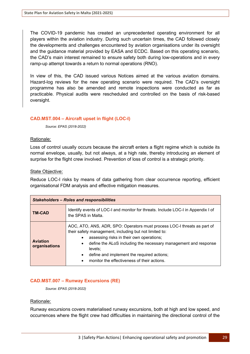The COVID-19 pandemic has created an unprecedented operating environment for all players within the aviation industry. During such uncertain times, the CAD followed closely the developments and challenges encountered by aviation organisations under its oversight and the guidance material provided by EASA and ECDC. Based on this operating scenario, the CAD's main interest remained to ensure safety both during low-operations and in every ramp-up attempt towards a return to normal operations (RNO).

In view of this, the CAD issued various Notices aimed at the various aviation domains. Hazard-log reviews for the new operating scenario were required. The CAD's oversight programme has also be amended and remote inspections were conducted as far as practicable. Physical audits were rescheduled and controlled on the basis of risk-based oversight.

# <span id="page-35-0"></span>**CAD.MST.004 – Aircraft upset in flight (LOC-I)**

*Source: EPAS (2018-2022)* 

# Rationale:

Loss of control usually occurs because the aircraft enters a flight regime which is outside its normal envelope, usually, but not always, at a high rate, thereby introducing an element of surprise for the flight crew involved. Prevention of loss of control is a strategic priority.

#### State Objective:

Reduce LOC-I risks by means of data gathering from clear occurrence reporting, efficient organisational FDM analysis and effective mitigation measures.

| <b>Stakeholders - Roles and responsibilities</b> |                                                                                                                                                                                                                                                                                                                                                                                                               |  |
|--------------------------------------------------|---------------------------------------------------------------------------------------------------------------------------------------------------------------------------------------------------------------------------------------------------------------------------------------------------------------------------------------------------------------------------------------------------------------|--|
| <b>TM-CAD</b>                                    | Identify events of LOC-I and monitor for threats. Include LOC-I in Appendix I of<br>the SPAS in Malta.                                                                                                                                                                                                                                                                                                        |  |
| <b>Aviation</b><br>organisations                 | AOC, ATO, ANS, ADR, SPO: Operators must process LOC-I threats as part of<br>their safety management, including but not limited to:<br>assessing risks in their own operations;<br>$\bullet$<br>define the ALoS including the necessary management and response<br>$\bullet$<br>levels:<br>define and implement the required actions;<br>$\bullet$<br>monitor the effectiveness of their actions.<br>$\bullet$ |  |

# <span id="page-35-1"></span>**CAD.MST.007 – Runway Excursions (RE)**

*Source: EPAS (2018-2022)* 

# Rationale:

Runway excursions covers materialised runway excursions, both at high and low speed, and occurrences where the flight crew had difficulties in maintaining the directional control of the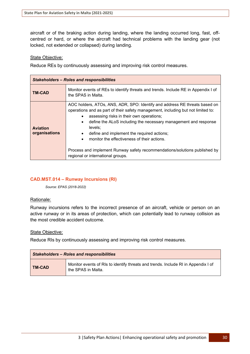aircraft or of the braking action during landing, where the landing occurred long, fast, offcentred or hard, or where the aircraft had technical problems with the landing gear (not locked, not extended or collapsed) during landing.

#### State Objective:

Reduce REs by continuously assessing and improving risk control measures.

| <b>Stakeholders – Roles and responsibilities</b> |                                                                                                                                                                                                                                                                                                                                                                                                                                                                                                                                                 |
|--------------------------------------------------|-------------------------------------------------------------------------------------------------------------------------------------------------------------------------------------------------------------------------------------------------------------------------------------------------------------------------------------------------------------------------------------------------------------------------------------------------------------------------------------------------------------------------------------------------|
| <b>TM-CAD</b>                                    | Monitor events of REs to identify threats and trends. Include RE in Appendix I of<br>the SPAS in Malta.                                                                                                                                                                                                                                                                                                                                                                                                                                         |
| <b>Aviation</b><br>organisations                 | AOC holders, ATOs, ANS, ADR, SPO: Identify and address RE threats based on<br>operations and as part of their safety management, including but not limited to:<br>assessing risks in their own operations;<br>define the ALoS including the necessary management and response<br>$\bullet$<br>levels:<br>define and implement the required actions;<br>$\bullet$<br>monitor the effectiveness of their actions.<br>$\bullet$<br>Process and implement Runway safety recommendations/solutions published by<br>regional or international groups. |

#### **CAD.MST.014 – Runway Incursions (RI)**

*Source: EPAS (2018-2022)* 

#### Rationale:

Runway incursions refers to the incorrect presence of an aircraft, vehicle or person on an active runway or in its areas of protection, which can potentially lead to runway collision as the most credible accident outcome.

#### State Objective:

Reduce RIs by continuously assessing and improving risk control measures.

| <b>Stakeholders - Roles and responsibilities</b> |                                                                                                         |
|--------------------------------------------------|---------------------------------------------------------------------------------------------------------|
| <b>TM-CAD</b>                                    | Monitor events of RIs to identify threats and trends. Include RI in Appendix I of<br>the SPAS in Malta. |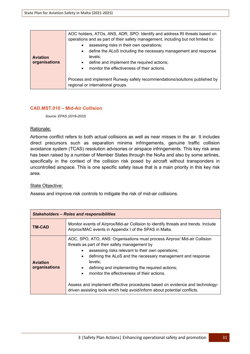| <b>Aviation</b><br>organisations | AOC holders, ATOs, ANS, ADR, SPO: Identify and address RI threats based on<br>operations and as part of their safety management, including but not limited to:<br>assessing risks in their own operations;<br>$\bullet$<br>define the ALoS including the necessary management and response<br>$\bullet$<br>levels:<br>define and implement the required actions;<br>$\bullet$ |
|----------------------------------|-------------------------------------------------------------------------------------------------------------------------------------------------------------------------------------------------------------------------------------------------------------------------------------------------------------------------------------------------------------------------------|
|                                  | monitor the effectiveness of their actions.<br>$\bullet$<br>Process and implement Runway safety recommendations/solutions published by<br>regional or international groups.                                                                                                                                                                                                   |
|                                  |                                                                                                                                                                                                                                                                                                                                                                               |

#### **CAD.MST.010 – Mid-Air Collision**

*Source: EPAS (2018-2022)* 

#### Rationale:

Airborne conflict refers to both actual collisions as well as near misses in the air. It includes direct precursors such as separation minima infringements, genuine traffic collision avoidance system (TCAS) resolution advisories or airspace infringements. This key risk area has been raised by a number of Member States through the NoAs and also by some airlines, specifically in the context of the collision risk posed by aircraft without transponders in uncontrolled airspace. This is one specific safety issue that is a main priority in this key risk area.

#### State Objective:

Assess and improve risk controls to mitigate the risk of mid-air collisions.

| <b>Stakeholders - Roles and responsibilities</b> |                                                                                                                                                                                                                                                                                                                                                                                                                                                                                                                                                                             |
|--------------------------------------------------|-----------------------------------------------------------------------------------------------------------------------------------------------------------------------------------------------------------------------------------------------------------------------------------------------------------------------------------------------------------------------------------------------------------------------------------------------------------------------------------------------------------------------------------------------------------------------------|
| TM-CAD                                           | Monitor events of Airprox/Mid-air Collision to identify threats and trends. Include<br>Airprox/MAC events in Appendix I of the SPAS in Malta.                                                                                                                                                                                                                                                                                                                                                                                                                               |
| <b>Aviation</b><br>organisations                 | AOC, SPO, ATO, ANS: Organisations must process Airprox/ Mid-air Collision<br>threats as part of their safety management by<br>assessing risks relevant to their own operations;<br>$\bullet$<br>defining the ALoS and the necessary management and response<br>$\bullet$<br>levels;<br>defining and implementing the required actions;<br>$\bullet$<br>monitor the effectiveness of their actions.<br>$\bullet$<br>Assess and implement effective procedures based on evidence and technology-<br>driven assisting tools which help avoid/inform about potential conflicts. |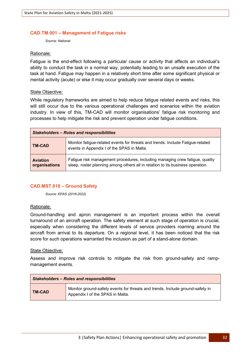#### **CAD.TM.001 – Management of Fatigue risks**

*Source: National*

#### Rationale:

Fatigue is the end-effect following a particular cause or activity that affects an individual's ability to conduct the task in a normal way, potentially leading to an unsafe execution of the task at hand. Fatigue may happen in a relatively short time after some significant physical or mental activity (acute) or else it may occur gradually over several days or weeks.

#### State Objective:

While regulatory frameworks are aimed to help reduce fatigue related events and risks, this will still occur due to the various operational challenges and scenarios within the aviation industry. In view of this, TM-CAD will monitor organisations' fatigue risk monitoring and processes to help mitigate the risk and prevent operation under fatigue conditions.

| <b>Stakeholders - Roles and responsibilities</b> |                                                                                                                                                                |
|--------------------------------------------------|----------------------------------------------------------------------------------------------------------------------------------------------------------------|
| <b>TM-CAD</b>                                    | Monitor fatigue-related events for threats and trends. Include Fatigue-related<br>events in Appendix I of the SPAS in Malta.                                   |
| <b>Aviation</b><br>organisations                 | Fatigue risk management procedures, including managing crew fatigue, quality<br>sleep, roster planning among others all in relation to its business operation. |

#### **CAD.MST.018 – Ground Safety**

*Source: EPAS (2018-2022)* 

#### Rationale:

Ground-handling and apron management is an important process within the overall turnaround of an aircraft operation. The safety element at such stage of operation is crucial, especially when considering the different levels of service providers roaming around the aircraft from arrival to its departure. On a regional level, it has been noticed that the risk score for such operations warranted the inclusion as part of a stand-alone domain.

#### State Objective:

Assess and improve risk controls to mitigate the risk from ground-safety and rampmanagement events.

| <b>Stakeholders - Roles and responsibilities</b> |                                                                                                                   |
|--------------------------------------------------|-------------------------------------------------------------------------------------------------------------------|
| <b>TM-CAD</b>                                    | Monitor ground-safety events for threats and trends. Include ground-safety in<br>Appendix I of the SPAS in Malta. |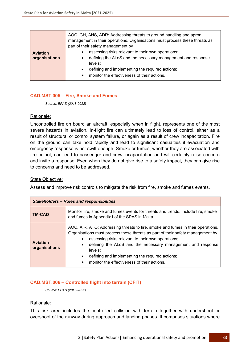|                                  | AOC, GH, ANS, ADR: Addressing threats to ground handling and apron<br>management in their operations. Organisations must process these threats as<br>part of their safety management by                                                                                           |
|----------------------------------|-----------------------------------------------------------------------------------------------------------------------------------------------------------------------------------------------------------------------------------------------------------------------------------|
| <b>Aviation</b><br>organisations | assessing risks relevant to their own operations;<br>$\bullet$<br>defining the ALoS and the necessary management and response<br>$\bullet$<br>levels:<br>defining and implementing the required actions;<br>$\bullet$<br>monitor the effectiveness of their actions.<br>$\bullet$ |

#### **CAD.MST.005 – Fire, Smoke and Fumes**

*Source: EPAS (2018-2022)* 

#### Rationale:

Uncontrolled fire on board an aircraft, especially when in flight, represents one of the most severe hazards in aviation. In-flight fire can ultimately lead to loss of control, either as a result of structural or control system failure, or again as a result of crew incapacitation. Fire on the ground can take hold rapidly and lead to significant casualties if evacuation and emergency response is not swift enough. Smoke or fumes, whether they are associated with fire or not, can lead to passenger and crew incapacitation and will certainly raise concern and invite a response. Even when they do not give rise to a safety impact, they can give rise to concerns and need to be addressed.

#### State Objective:

Assess and improve risk controls to mitigate the risk from fire, smoke and fumes events.

| <b>Stakeholders - Roles and responsibilities</b> |                                                                                                                                                                                                                                                                                                                                                                                                                                                        |
|--------------------------------------------------|--------------------------------------------------------------------------------------------------------------------------------------------------------------------------------------------------------------------------------------------------------------------------------------------------------------------------------------------------------------------------------------------------------------------------------------------------------|
| <b>TM-CAD</b>                                    | Monitor fire, smoke and fumes events for threats and trends. Include fire, smoke<br>and fumes in Appendix I of the SPAS in Malta.                                                                                                                                                                                                                                                                                                                      |
| <b>Aviation</b><br>organisations                 | AOC, AIR, ATO: Addressing threats to fire, smoke and fumes in their operations.<br>Organisations must process these threats as part of their safety management by<br>assessing risks relevant to their own operations;<br>$\bullet$<br>defining the ALoS and the necessary management and response<br>$\bullet$<br>levels:<br>defining and implementing the required actions;<br>$\bullet$<br>monitor the effectiveness of their actions.<br>$\bullet$ |

#### **CAD.MST.006 – Controlled flight into terrain (CFIT)**

*Source: EPAS (2018-2022)* 

#### Rationale:

This risk area includes the controlled collision with terrain together with undershoot or overshoot of the runway during approach and landing phases. It comprises situations where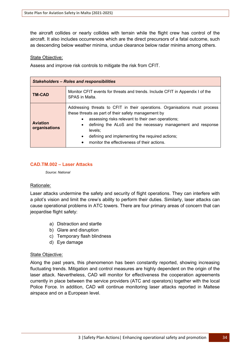the aircraft collides or nearly collides with terrain while the flight crew has control of the aircraft. It also includes occurrences which are the direct precursors of a fatal outcome, such as descending below weather minima, undue clearance below radar minima among others.

#### State Objective:

Assess and improve risk controls to mitigate the risk from CFIT.

| <b>Stakeholders - Roles and responsibilities</b> |                                                                                                                                                                                                                                                                                                                                                                                                           |
|--------------------------------------------------|-----------------------------------------------------------------------------------------------------------------------------------------------------------------------------------------------------------------------------------------------------------------------------------------------------------------------------------------------------------------------------------------------------------|
| <b>TM-CAD</b>                                    | Monitor CFIT events for threats and trends. Include CFIT in Appendix I of the<br>SPAS in Malta.                                                                                                                                                                                                                                                                                                           |
| <b>Aviation</b><br>organisations                 | Addressing threats to CFIT in their operations. Organisations must process<br>these threats as part of their safety management by<br>assessing risks relevant to their own operations;<br>$\bullet$<br>defining the ALoS and the necessary management and response<br>levels:<br>defining and implementing the required actions;<br>$\bullet$<br>monitor the effectiveness of their actions.<br>$\bullet$ |

#### **CAD.TM.002 – Laser Attacks**

*Source: National*

#### Rationale:

Laser attacks undermine the safety and security of flight operations. They can interfere with a pilot's vision and limit the crew's ability to perform their duties. Similarly, laser attacks can cause operational problems in ATC towers. There are four primary areas of concern that can jeopardise flight safety:

- a) Distraction and startle
- b) Glare and disruption
- c) Temporary flash blindness
- d) Eye damage

#### State Objective:

Along the past years, this phenomenon has been constantly reported, showing increasing fluctuating trends. Mitigation and control measures are highly dependent on the origin of the laser attack. Nevertheless, CAD will monitor for effectiveness the cooperation agreements currently in place between the service providers (ATC and operators) together with the local Police Force. In addition, CAD will continue monitoring laser attacks reported in Maltese airspace and on a European level.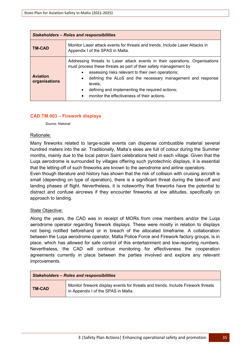| <b>Stakeholders – Roles and responsibilities</b> |                                                                                                                                                                                                                                                                                                                                                                                                                          |
|--------------------------------------------------|--------------------------------------------------------------------------------------------------------------------------------------------------------------------------------------------------------------------------------------------------------------------------------------------------------------------------------------------------------------------------------------------------------------------------|
| <b>TM-CAD</b>                                    | Monitor Laser attack events for threats and trends. Include Laser Attacks in<br>Appendix I of the SPAS in Malta.                                                                                                                                                                                                                                                                                                         |
| <b>Aviation</b><br>organisations                 | Addressing threats to Laser attack events in their operations. Organisations<br>must process these threats as part of their safety management by<br>assessing risks relevant to their own operations;<br>defining the ALoS and the necessary management and response<br>$\bullet$<br>levels:<br>defining and implementing the required actions;<br>$\bullet$<br>monitor the effectiveness of their actions.<br>$\bullet$ |

#### **CAD.TM.003 – Firework displays**

*Source: National*

#### Rationale:

Many fireworks related to large-scale events can dispense combustible material several hundred meters into the air. Traditionally, Malta's skies are full of colour during the Summer months, mainly due to the local patron Saint celebrations held in each village. Given that the Luqa aerodrome is surrounded by villages offering such pyrotechnic displays, it is essential that the letting-off of such fireworks are known to the aerodrome and airline operators.

Even though literature and history has shown that the risk of collision with cruising aircraft is small (depending on type of operation), there is a significant threat during the take-off and landing phases of flight. Nevertheless, it is noteworthy that fireworks have the potential to distract and confuse aircrews if they encounter fireworks at low altitudes, specifically on approach to landing.

#### State Objective:

Along the years, the CAD was in receipt of MORs from crew members and/or the Luqa aerodrome operator regarding firework displays. These were mostly in relation to displays not being notified beforehand or in breach of the allocated timeframe. A collaboration between the Luqa aerodrome operator, Malta Police Force and Firework factory groups, is in place, which has allowed for safe control of this entertainment and low-reporting numbers. Nevertheless, the CAD will continue monitoring for effectiveness the cooperation agreements currently in place between the parties involved and explore any relevant improvements.

| <b>Stakeholders - Roles and responsibilities</b> |                                                                                                                         |
|--------------------------------------------------|-------------------------------------------------------------------------------------------------------------------------|
| <b>TM-CAD</b>                                    | Monitor firework display events for threats and trends. Include Firework threats<br>in Appendix I of the SPAS in Malta. |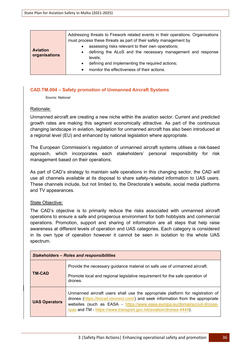|                                  | Addressing threats to Firework related events in their operations. Organisations<br>must process these threats as part of their safety management by                                                                                                         |
|----------------------------------|--------------------------------------------------------------------------------------------------------------------------------------------------------------------------------------------------------------------------------------------------------------|
| <b>Aviation</b><br>organisations | assessing risks relevant to their own operations;<br>defining the ALoS and the necessary management and response<br>$\bullet$<br>levels:<br>defining and implementing the required actions;<br>$\bullet$<br>monitor the effectiveness of their actions.<br>٠ |

#### **CAD.TM.004 – Safety promotion of Unmanned Aircraft Systems**

*Source: National*

#### Rationale:

Unmanned aircraft are creating a new niche within the aviation sector. Current and predicted growth rates are making this segment economically attractive. As part of the continuous changing landscape in aviation, legislation for unmanned aircraft has also been introduced at a regional level (EU) and enhanced by national legislation where appropriate.

The European Commission's regulation of unmanned aircraft systems utilises a risk-based approach, which incorporates each stakeholders' personal responsibility for risk management based on their operations.

As part of CAD's strategy to maintain safe operations in this changing sector, the CAD will use all channels available at its disposal to share safety-related information to UAS users. These channels include, but not limited to, the Directorate's website, social media platforms and TV appearances.

#### State Objective:

The CAD's objective is to primarily reduce the risks associated with unmanned aircraft operations to ensure a safe and prosperous environment for both hobbyists and commercial operations. Promotion, support and sharing of information are all steps that help raise awareness at different levels of operation and UAS categories. Each category is considered in its own type of operation however it cannot be seen in isolation to the whole UAS spectrum.

| <b>Stakeholders - Roles and responsibilities</b> |                                                                                                                                                                                                                                                                                                                    |  |
|--------------------------------------------------|--------------------------------------------------------------------------------------------------------------------------------------------------------------------------------------------------------------------------------------------------------------------------------------------------------------------|--|
| <b>TM-CAD</b>                                    | Provide the necessary guidance material on safe use of unmanned aircraft.<br>Promote local and regional legislative requirement for the safe operation of<br>drones.                                                                                                                                               |  |
| <b>UAS Operators</b>                             | Unmanned aircraft users shall use the appropriate platform for registration of<br>drones (https://tmcad.idronect.com/) and seek information from the appropriate<br>websites (such as EASA - https://www.easa.europa.eu/domains/civil-drones-<br>rpas and TM - https://www.transport.gov.mt/aviation/drones-4444). |  |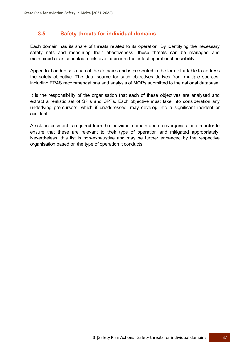## **3.5 Safety threats for individual domains**

Each domain has its share of threats related to its operation. By identifying the necessary safety nets and measuring their effectiveness, these threats can be managed and maintained at an acceptable risk level to ensure the safest operational possibility.

Appendix I addresses each of the domains and is presented in the form of a table to address the safety objective. The data source for such objectives derives from multiple sources, including EPAS recommendations and analysis of MORs submitted to the national database.

It is the responsibility of the organisation that each of these objectives are analysed and extract a realistic set of SPIs and SPTs. Each objective must take into consideration any underlying pre-cursors, which if unaddressed, may develop into a significant incident or accident.

A risk assessment is required from the individual domain operators/organisations in order to ensure that these are relevant to their type of operation and mitigated appropriately. Nevertheless, this list is non-exhaustive and may be further enhanced by the respective organisation based on the type of operation it conducts.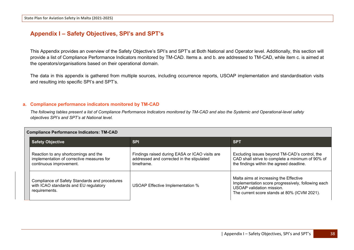# **Appendix I – Safety Objectives, SPI's and SPT's**

This Appendix provides an overview of the Safety Objective's SPI's and SPT's at Both National and Operator level. Additionally, this section will provide a list of Compliance Performance Indicators monitored by TM-CAD. Items a. and b. are addressed to TM-CAD, while item c. is aimed at the operators/organisations based on their operational domain.

The data in this appendix is gathered from multiple sources, including occurrence reports, USOAP implementation and standardisation visits and resulting into specific SPI's and SPT's.

#### **a. Compliance performance indicators monitored by TM-CAD**

*The following tables present a list of Compliance Performance Indicators monitored by TM-CAD and also the Systemic and Operational-level safety objectives SPI's and SPT's at National level.*

| <b>Compliance Performance Indicators: TM-CAD</b> |                                                                                                              |                                                                                                           |                                                                                                                                                                           |  |
|--------------------------------------------------|--------------------------------------------------------------------------------------------------------------|-----------------------------------------------------------------------------------------------------------|---------------------------------------------------------------------------------------------------------------------------------------------------------------------------|--|
|                                                  | <b>Safety Objective</b>                                                                                      | <b>SPI</b>                                                                                                | <b>SPT</b>                                                                                                                                                                |  |
|                                                  | Reaction to any shortcomings and the<br>implementation of corrective measures for<br>continuous improvement. | Findings raised during EASA or ICAO visits are<br>addressed and corrected in the stipulated<br>timeframe. | Excluding issues beyond TM-CAD's control, the<br>CAD shall strive to complete a minimum of 90% of<br>the findings within the agreed deadline.                             |  |
|                                                  | Compliance of Safety Standards and procedures<br>with ICAO standards and EU regulatory<br>requirements.      | USOAP Effective Implementation %                                                                          | Malta aims at increasing the Effective<br>Implementation score progressively, following each<br>USOAP validation mission.<br>The current score stands at 80% (ICVM 2021). |  |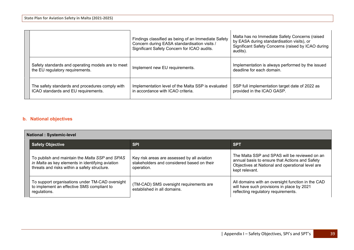|  |                                                                                        | Findings classified as being of an Immediate Safety<br>Concern during EASA standardisation visits /<br>Significant Safety Concern for ICAO audits. | Malta has no Immediate Safety Concerns (raised<br>by EASA during standardisation visits), or<br>Significant Safety Concerns (raised by ICAO during<br>audits). |
|--|----------------------------------------------------------------------------------------|----------------------------------------------------------------------------------------------------------------------------------------------------|----------------------------------------------------------------------------------------------------------------------------------------------------------------|
|  | Safety standards and operating models are to meet<br>the EU regulatory requirements.   | Implement new EU requirements.                                                                                                                     | Implementation is always performed by the issued<br>deadline for each domain.                                                                                  |
|  | The safety standards and procedures comply with<br>ICAO standards and EU requirements. | Implementation level of the Malta SSP is evaluated<br>in accordance with ICAO criteria.                                                            | SSP full implementation target date of 2022 as<br>provided in the ICAO GASP.                                                                                   |

### **b. National objectives**

| <b>National: Systemic-level</b> |                                                                                                                                                    |                                                                                                         |                                                                                                                                                                       |
|---------------------------------|----------------------------------------------------------------------------------------------------------------------------------------------------|---------------------------------------------------------------------------------------------------------|-----------------------------------------------------------------------------------------------------------------------------------------------------------------------|
|                                 | <b>Safety Objective</b>                                                                                                                            | <b>SPI</b>                                                                                              | <b>SPT</b>                                                                                                                                                            |
|                                 | To publish and maintain the Malta SSP and SPAS<br>in Malta as key elements in identifying aviation<br>threats and risks within a safety structure. | Key risk areas are assessed by all aviation<br>stakeholders and considered based on their<br>operation. | The Malta SSP and SPAS will be reviewed on an<br>annual basis to ensure that Actions and Safety<br>Objectives at National and operational level are<br>kept relevant. |
|                                 | To support organisations under TM-CAD oversight<br>to implement an effective SMS compliant to<br>regulations.                                      | (TM-CAD) SMS oversight requirements are<br>established in all domains.                                  | All domains with an oversight function in the CAD<br>will have such provisions in place by 2021<br>reflecting regulatory requirements.                                |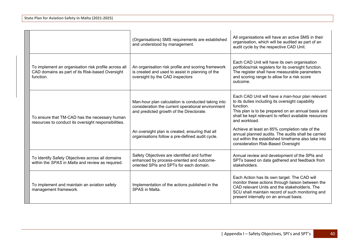|                                                                                                                      | (Organisations) SMS requirements are established<br>and understood by management.                                                                   | All organisations will have an active SMS in their<br>organisation, which will be audited as part of an<br>audit cycle by the respective CAD Unit.                                                                                                |
|----------------------------------------------------------------------------------------------------------------------|-----------------------------------------------------------------------------------------------------------------------------------------------------|---------------------------------------------------------------------------------------------------------------------------------------------------------------------------------------------------------------------------------------------------|
| To implement an organisation risk profile across all<br>CAD domains as part of its Risk-based Oversight<br>function. | An organisation risk profile and scoring framework<br>is created and used to assist in planning of the<br>oversight by the CAD inspectors           | Each CAD Unit will have its own organisation<br>portfolios/risk registers for its oversight function.<br>The register shall have measurable parameters<br>and scoring range to allow for a risk score<br>outcome.                                 |
| To ensure that TM-CAD has the necessary human<br>resources to conduct its oversight responsibilities.                | Man-hour plan calculation is conducted taking into<br>consideration the current operational environment<br>and predicted growth of the Directorate. | Each CAD Unit will have a man-hour plan relevant<br>to its duties including its oversight capability<br>function.<br>This plan is to be prepared on an annual basis and<br>shall be kept relevant to reflect available resources<br>and workload. |
|                                                                                                                      | An oversight plan is created, ensuring that all<br>organisations follow a pre-defined audit cycle.                                                  | Achieve at least an 85% completion rate of the<br>annual planned audits. The audits shall be carried<br>out within the established timeframe also take into<br>consideration Risk-Based Oversight                                                 |
| To Identify Safety Objectives across all domains<br>within the SPAS in Malta and review as required.                 | Safety Objectives are identified and further<br>enhanced by process-oriented and outcome-<br>oriented SPIs and SPTs for each domain.                | Annual review and development of the SPIs and<br>SPTs based on data gathered and feedback from<br>stakeholders.                                                                                                                                   |
| To implement and maintain an aviation safety<br>management framework.                                                | Implementation of the actions published in the<br>SPAS in Malta.                                                                                    | Each Action has its own target. The CAD will<br>monitor these actions through liaison between the<br>CAD relevant Units and the stakeholder/s. The<br>SCU shall maintain record of such monitoring and<br>present internally on an annual basis.  |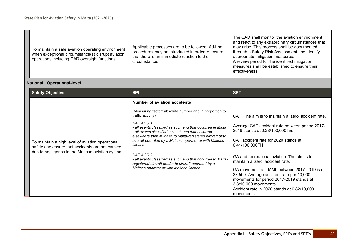| To maintain a safe aviation operating environment<br>when exceptional circumstance(s) disrupt aviation<br>operations including CAD oversight functions. | Applicable processes are to be followed. Ad-hoc<br>procedures may be introduced in order to ensure<br>that there is an immediate reaction to the<br>circumstance. | The CAD shall monitor the aviation environment<br>and react to any extraordinary circumstances that<br>may arise. This process shall be documented<br>through a Safety Risk Assessment and identify<br>appropriate mitigation measures.<br>A review period for the identified mitigation<br>measures shall be established to ensure their<br>effectiveness. |
|---------------------------------------------------------------------------------------------------------------------------------------------------------|-------------------------------------------------------------------------------------------------------------------------------------------------------------------|-------------------------------------------------------------------------------------------------------------------------------------------------------------------------------------------------------------------------------------------------------------------------------------------------------------------------------------------------------------|
|---------------------------------------------------------------------------------------------------------------------------------------------------------|-------------------------------------------------------------------------------------------------------------------------------------------------------------------|-------------------------------------------------------------------------------------------------------------------------------------------------------------------------------------------------------------------------------------------------------------------------------------------------------------------------------------------------------------|

# **National : Operational-level**

| <b>Safety Objective</b>                                                                                                                                  | <b>SPI</b>                                                                                                                        | <b>SPT</b>                                                                                                                          |
|----------------------------------------------------------------------------------------------------------------------------------------------------------|-----------------------------------------------------------------------------------------------------------------------------------|-------------------------------------------------------------------------------------------------------------------------------------|
|                                                                                                                                                          | Number of aviation accidents                                                                                                      |                                                                                                                                     |
|                                                                                                                                                          | (Measuring factor: absolute number and in proportion to<br>traffic activity)                                                      | CAT: The aim is to maintain a 'zero' accident rate.                                                                                 |
|                                                                                                                                                          | $NATACC.1$ :<br>- all events classified as such and that occurred in Malta<br>- all events classified as such and that occurred   | Average CAT accident rate between period 2017-<br>2019 stands at 0.23/100,000 hrs.                                                  |
| To maintain a high level of aviation operational<br>safety and ensure that accidents are not caused<br>due to negligence in the Maltese aviation system. | elsewhere than in Malta to Malta-registered aircraft or to<br>aircraft operated by a Maltese operator or with Maltese<br>licence. | CAT accident rate for 2020 stands at<br>0.41/100,000FH                                                                              |
|                                                                                                                                                          | NAT.ACC.2<br>- all events classified as such and that occurred to Malta-<br>registered aircraft and/or to aircraft operated by a  | GA and recreational aviation: The aim is to<br>maintain a 'zero' accident rate.                                                     |
|                                                                                                                                                          | Maltese operator or with Maltese license.                                                                                         | GA movement at LMML between 2017-2019 is of<br>33,500. Average accident rate per 10,000<br>movements for period 2017-2019 stands at |
|                                                                                                                                                          |                                                                                                                                   | 3.3/10,000 movements.<br>Accident rate in 2020 stands at 0.82/10,000<br>movements.                                                  |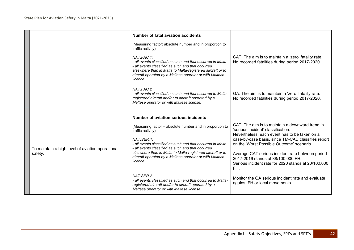|                                                             | Number of fatal aviation accidents                                                                                                                                                                                                                                                                                                                  |                                                                                                                                                                                                                                                                                                                                                                                                   |
|-------------------------------------------------------------|-----------------------------------------------------------------------------------------------------------------------------------------------------------------------------------------------------------------------------------------------------------------------------------------------------------------------------------------------------|---------------------------------------------------------------------------------------------------------------------------------------------------------------------------------------------------------------------------------------------------------------------------------------------------------------------------------------------------------------------------------------------------|
|                                                             | (Measuring factor: absolute number and in proportion to<br>traffic activity)                                                                                                                                                                                                                                                                        |                                                                                                                                                                                                                                                                                                                                                                                                   |
|                                                             | NAT.FAC.1:<br>- all events classified as such and that occurred in Malta<br>- all events classified as such and that occurred<br>elsewhere than in Malta to Malta-registered aircraft or to<br>aircraft operated by a Maltese operator or with Maltese<br>licence.                                                                                  | CAT: The aim is to maintain a 'zero' fatality rate.<br>No recorded fatalities during period 2017-2020.                                                                                                                                                                                                                                                                                            |
|                                                             | NAT.FAC.2<br>- all events classified as such and that occurred to Malta-<br>registered aircraft and/or to aircraft operated by a<br>Maltese operator or with Maltese license.                                                                                                                                                                       | GA: The aim is to maintain a 'zero' fatality rate.<br>No recorded fatalities during period 2017-2020.                                                                                                                                                                                                                                                                                             |
|                                                             | Number of aviation serious incidents                                                                                                                                                                                                                                                                                                                |                                                                                                                                                                                                                                                                                                                                                                                                   |
| To maintain a high level of aviation operational<br>safety. | (Measuring factor - absolute number and in proportion to<br>traffic activity)<br>NAT.SER.1:<br>- all events classified as such and that occurred in Malta<br>- all events classified as such and that occurred<br>elsewhere than in Malta to Malta-registered aircraft or to<br>aircraft operated by a Maltese operator or with Maltese<br>licence. | CAT: The aim is to maintain a downward trend in<br>'serious incident' classification.<br>Nevertheless, each event has to be taken on a<br>case-by-case basis, since TM-CAD classifies report<br>on the 'Worst Possible Outcome' scenario.<br>Average CAT serious incident rate between period<br>2017-2019 stands at 38/100,000 FH.<br>Serious incident rate for 2020 stands at 20/100,000<br>FH. |
|                                                             | NAT SER <sub>2</sub><br>- all events classified as such and that occurred to Malta-<br>registered aircraft and/or to aircraft operated by a<br>Maltese operator or with Maltese license.                                                                                                                                                            | Monitor the GA serious incident rate and evaluate<br>against FH or local movements.                                                                                                                                                                                                                                                                                                               |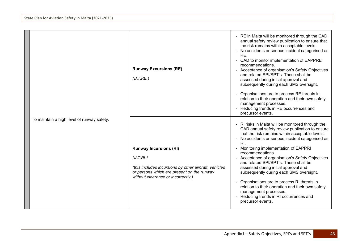| To maintain a high level of runway safety. | <b>Runway Excursions (RE)</b><br>NAT.RE.1                                                                                                                                              | - RE in Malta will be monitored through the CAD<br>annual safety review publication to ensure that<br>the risk remains within acceptable levels.<br>No accidents or serious incident categorised as<br>RE.<br>- CAD to monitor implementation of EAPPRE<br>recommendations.<br>- Acceptance of organisation's Safety Objectives<br>and related SPI/SPT's. These shall be<br>assessed during initial approval and<br>subsequently during each SMS oversight.<br>Organisations are to process RE threats in<br>relation to their operation and their own safety<br>management processes.<br>Reducing trends in RE occurrences and<br>precursor events. |
|--------------------------------------------|----------------------------------------------------------------------------------------------------------------------------------------------------------------------------------------|------------------------------------------------------------------------------------------------------------------------------------------------------------------------------------------------------------------------------------------------------------------------------------------------------------------------------------------------------------------------------------------------------------------------------------------------------------------------------------------------------------------------------------------------------------------------------------------------------------------------------------------------------|
|                                            | <b>Runway Incursions (RI)</b><br>NAT.RI.1<br>(this includes incursions by other aircraft, vehicles<br>or persons which are present on the runway<br>without clearance or incorrectly.) | - RI risks in Malta will be monitored through the<br>CAD annual safety review publication to ensure<br>that the risk remains within acceptable levels.<br>No accidents or serious incident categorised as<br>RI.<br>Monitoring implementation of EAPPRI<br>recommendations.<br>- Acceptance of organisation's Safety Objectives<br>and related SPI/SPT's. These shall be<br>assessed during initial approval and<br>subsequently during each SMS oversight.<br>Organisations are to process RI threats in<br>relation to their operation and their own safety<br>management processes.<br>Reducing trends in RI occurrences and<br>precursor events. |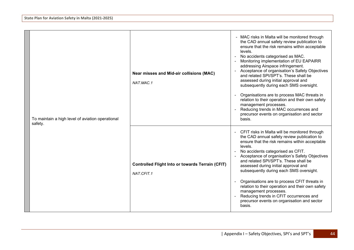| To maintain a high level of aviation operational<br>safety. | Near misses and Mid-air collisions (MAC)<br>NAT.MAC.1                 | - MAC risks in Malta will be monitored through<br>the CAD annual safety review publication to<br>ensure that the risk remains within acceptable<br>levels.<br>No accidents categorised as MAC.<br>Monitoring implementation of EU EAPAIRR<br>addressing Airspace infringement.<br>Acceptance of organisation's Safety Objectives<br>and related SPI/SPT's. These shall be<br>assessed during initial approval and<br>subsequently during each SMS oversight.<br>Organisations are to process MAC threats in<br>relation to their operation and their own safety<br>management processes.<br>Reducing trends in MAC occurrences and<br>precursor events on organisation and sector<br>basis. |
|-------------------------------------------------------------|-----------------------------------------------------------------------|---------------------------------------------------------------------------------------------------------------------------------------------------------------------------------------------------------------------------------------------------------------------------------------------------------------------------------------------------------------------------------------------------------------------------------------------------------------------------------------------------------------------------------------------------------------------------------------------------------------------------------------------------------------------------------------------|
|                                                             | <b>Controlled Flight Into or towards Terrain (CFIT)</b><br>NAT.CFIT.1 | CFIT risks in Malta will be monitored through<br>the CAD annual safety review publication to<br>ensure that the risk remains within acceptable<br>levels.<br>No accidents categorised as CFIT.<br>Acceptance of organisation's Safety Objectives<br>and related SPI/SPT's. These shall be<br>assessed during initial approval and<br>subsequently during each SMS oversight.<br>Organisations are to process CFIT threats in<br>relation to their operation and their own safety<br>management processes.<br>Reducing trends in CFIT occurrences and<br>precursor events on organisation and sector<br>basis.                                                                               |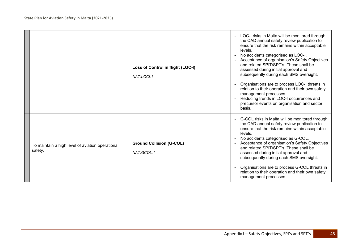|                                                             | Loss of Control in flight (LOC-I)<br>NAT.LOCI.1 | LOC-I risks in Malta will be monitored through<br>the CAD annual safety review publication to<br>ensure that the risk remains within acceptable<br>levels.<br>No accidents categorised as LOC-I.<br>Acceptance of organisation's Safety Objectives<br>and related SPIT/SPT's. These shall be<br>assessed during initial approval and<br>subsequently during each SMS oversight.<br>Organisations are to process LOC-I threats in<br>relation to their operation and their own safety<br>management processes.<br>Reducing trends in LOC-I occurrences and<br>precursor events on organisation and sector<br>basis. |
|-------------------------------------------------------------|-------------------------------------------------|--------------------------------------------------------------------------------------------------------------------------------------------------------------------------------------------------------------------------------------------------------------------------------------------------------------------------------------------------------------------------------------------------------------------------------------------------------------------------------------------------------------------------------------------------------------------------------------------------------------------|
| To maintain a high level of aviation operational<br>safety. | <b>Ground Collision (G-COL)</b><br>NAT.GCOL.1   | G-COL risks in Malta will be monitored through<br>the CAD annual safety review publication to<br>ensure that the risk remains within acceptable<br>levels.<br>No accidents categorised as G-COL.<br>Acceptance of organisation's Safety Objectives<br>and related SPIT/SPT's. These shall be<br>assessed during initial approval and<br>subsequently during each SMS oversight.<br>Organisations are to process G-COL threats in<br>relation to their operation and their own safety<br>management processes                                                                                                       |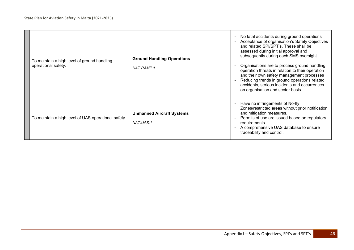| To maintain a high level of ground handling<br>operational safety. | <b>Ground Handling Operations</b><br>NAT.RAMP.1 | No fatal accidents during ground operations<br>$\sim$<br>Acceptance of organisation's Safety Objectives<br>and related SPI/SPT's. These shall be<br>assessed during initial approval and<br>subsequently during each SMS oversight.<br>Organisations are to process ground handling<br>operation threats in relation to their operation<br>and their own safety management processes<br>Reducing trends in ground operations related<br>accidents, serious incidents and occurrences<br>on organisation and sector basis. |
|--------------------------------------------------------------------|-------------------------------------------------|---------------------------------------------------------------------------------------------------------------------------------------------------------------------------------------------------------------------------------------------------------------------------------------------------------------------------------------------------------------------------------------------------------------------------------------------------------------------------------------------------------------------------|
| To maintain a high level of UAS operational safety.                | <b>Unmanned Aircraft Systems</b><br>NAT.UAS.1   | Have no infringements of No-fly<br>$\blacksquare$<br>Zones/restricted areas without prior notification<br>and mitigation measures.<br>Permits of use are issued based on regulatory<br>$\blacksquare$<br>requirements.<br>A comprehensive UAS database to ensure<br>traceability and control.                                                                                                                                                                                                                             |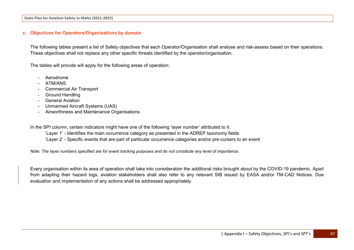#### **c. Objectives for Operators/Organisations by domain**

The following tables present a list of Safety objectives that each Operator/Organisation shall analyse and risk-assess based on their operations. These objectives shall not replace any other specific threats identified by the operator/organisation.

The tables will provide will apply for the following areas of operation:

- **Aerodrome**
- ATM/ANS
- Commercial Air Transport
- Ground Handling
- General Aviation
- Unmanned Aircraft Systems (UAS)
- Airworthiness and Maintenance Organisations

In the SPI column, certain indicators might have one of the following 'layer number' attributed to it:

- 'Layer 1' Identifies the main occurrence category as presented in the ADREP taxonomy fields.
- 'Layer 2' Specific events that are part of particular occurrence categories and/or pre-cursers to an event

*Note: The layer numbers specified are for event tracking purposes and do not constitute any level of importance.*

Every organisation within its area of operation shall take into consideration the additional risks brought about by the COVID-19 pandemic. Apart from adapting their hazard logs, aviation stakeholders shall also refer to any relevant SIB issued by EASA and/or TM-CAD Notices. Due evaluation and implementation of any actions shall be addressed appropriately.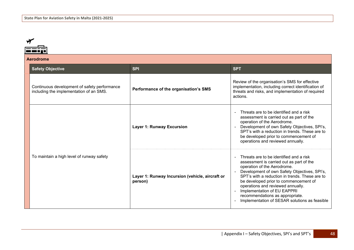| Aerodrome                                                                               |                                                            |                                                                                                                                                                                                                                                                                                                                                                                                                                 |
|-----------------------------------------------------------------------------------------|------------------------------------------------------------|---------------------------------------------------------------------------------------------------------------------------------------------------------------------------------------------------------------------------------------------------------------------------------------------------------------------------------------------------------------------------------------------------------------------------------|
| <b>Safety Objective</b>                                                                 | <b>SPI</b>                                                 | <b>SPT</b>                                                                                                                                                                                                                                                                                                                                                                                                                      |
| Continuous development of safety performance<br>including the implementation of an SMS. | Performance of the organisation's SMS                      | Review of the organisation's SMS for effective<br>implementation, including correct identification of<br>threats and risks, and implementation of required<br>actions.                                                                                                                                                                                                                                                          |
|                                                                                         | <b>Layer 1: Runway Excursion</b>                           | Threats are to be identified and a risk<br>assessment is carried out as part of the<br>operation of the Aerodrome.<br>Development of own Safety Objectives, SPI's,<br>SPT's with a reduction in trends. These are to<br>be developed prior to commencement of<br>operations and reviewed annually.                                                                                                                              |
| To maintain a high level of runway safety                                               | Layer 1: Runway Incursion (vehicle, aircraft or<br>person) | Threats are to be identified and a risk<br>$\sim$<br>assessment is carried out as part of the<br>operation of the Aerodrome.<br>Development of own Safety Objectives, SPI's,<br>SPT's with a reduction in trends. These are to<br>be developed prior to commencement of<br>operations and reviewed annually.<br>Implementation of EU EAPPRI<br>recommendations as appropriate.<br>Implementation of SESAR solutions as feasible |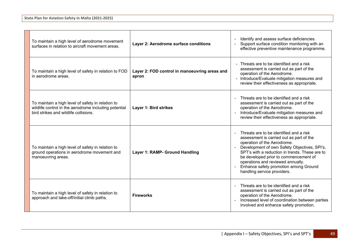| To maintain a high level of aerodrome movement<br>surfaces in relation to aircraft movement areas.                                                  | Layer 2: Aerodrome surface conditions                  | Identify and assess surface deficiencies.<br>Support surface condition monitoring with an<br>effective preventive maintenance programme.                                                                                                                                                                                                                                                     |
|-----------------------------------------------------------------------------------------------------------------------------------------------------|--------------------------------------------------------|----------------------------------------------------------------------------------------------------------------------------------------------------------------------------------------------------------------------------------------------------------------------------------------------------------------------------------------------------------------------------------------------|
| To maintain a high level of safety in relation to FOD<br>in aerodrome areas.                                                                        | Layer 2: FOD control in manoeuvring areas and<br>apron | Threats are to be identified and a risk<br>assessment is carried out as part of the<br>operation of the Aerodrome.<br>- Introduce/Evaluate mitigation measures and<br>review their effectiveness as appropriate.                                                                                                                                                                             |
| To maintain a high level of safety in relation to<br>wildlife control in the aerodrome including potential<br>bird strikes and wildlife collisions. | Layer 1: Bird strikes                                  | Threats are to be identified and a risk<br>assessment is carried out as part of the<br>operation of the Aerodrome.<br>Introduce/Evaluate mitigation measures and<br>review their effectiveness as appropriate.                                                                                                                                                                               |
| To maintain a high level of safety in relation to<br>ground operations in aerodrome movement and<br>manoeuvring areas.                              | Layer 1: RAMP- Ground Handling                         | Threats are to be identified and a risk<br>assessment is carried out as part of the<br>operation of the Aerodrome.<br>Development of own Safety Objectives, SPI's,<br>SPT's with a reduction in trends. These are to<br>be developed prior to commencement of<br>operations and reviewed annually.<br>Enhance safety promotion among Ground<br>$\blacksquare$<br>handling service providers. |
| To maintain a high level of safety in relation to<br>approach and take-off/initial climb paths.                                                     | <b>Fireworks</b>                                       | Threats are to be identified and a risk<br>assessment is carried out as part of the<br>operation of the Aerodrome.<br>Increased level of coordination between parties<br>involved and enhance safety promotion.                                                                                                                                                                              |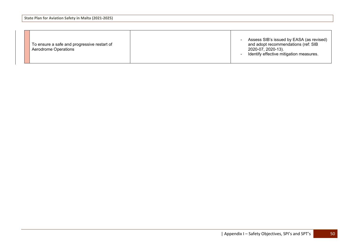| To ensure a safe and progressive restart of<br>Aerodrome Operations |  | Assess SIB's issued by EASA (as revised)<br>and adopt recommendations (ref: SIB<br>2020-07, 2020-13).<br>Identify effective mitigation measures. |
|---------------------------------------------------------------------|--|--------------------------------------------------------------------------------------------------------------------------------------------------|
|---------------------------------------------------------------------|--|--------------------------------------------------------------------------------------------------------------------------------------------------|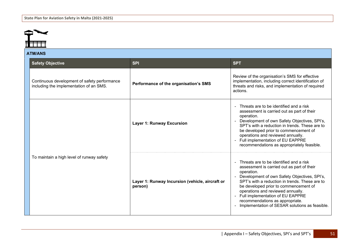

### **ATM/ANS**

| A I IVI/AIVJ                                                                            |                                                            |                                                                                                                                                                                                                                                                                                                                                                                                                                |  |
|-----------------------------------------------------------------------------------------|------------------------------------------------------------|--------------------------------------------------------------------------------------------------------------------------------------------------------------------------------------------------------------------------------------------------------------------------------------------------------------------------------------------------------------------------------------------------------------------------------|--|
| <b>Safety Objective</b>                                                                 | <b>SPI</b>                                                 | <b>SPT</b>                                                                                                                                                                                                                                                                                                                                                                                                                     |  |
| Continuous development of safety performance<br>including the implementation of an SMS. | Performance of the organisation's SMS                      | Review of the organisation's SMS for effective<br>implementation, including correct identification of<br>threats and risks, and implementation of required<br>actions.                                                                                                                                                                                                                                                         |  |
|                                                                                         | <b>Layer 1: Runway Excursion</b>                           | Threats are to be identified and a risk<br>assessment is carried out as part of their<br>operation.<br>Development of own Safety Objectives, SPI's,<br>SPT's with a reduction in trends. These are to<br>be developed prior to commencement of<br>operations and reviewed annually.<br>Full implementation of EU EAPPRE<br>recommendations as appropriately feasible.                                                          |  |
| To maintain a high level of runway safety                                               | Layer 1: Runway Incursion (vehicle, aircraft or<br>person) | Threats are to be identified and a risk<br>assessment is carried out as part of their<br>operation.<br>Development of own Safety Objectives, SPI's,<br>SPT's with a reduction in trends. These are to<br>be developed prior to commencement of<br>operations and reviewed annually.<br>Full implementation of EU EAPPRE<br>$\blacksquare$<br>recommendations as appropriate.<br>Implementation of SESAR solutions as feasible. |  |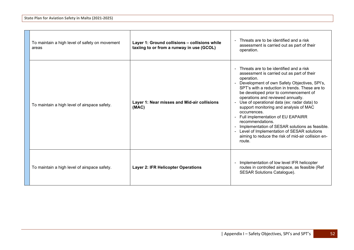| To maintain a high level of safety on movement<br>areas | Layer 1: Ground collisions - collisions while<br>taxiing to or from a runway in use (GCOL) | Threats are to be identified and a risk<br>$\blacksquare$<br>assessment is carried out as part of their<br>operation.                                                                                                                                                                                                                                                                                                                                                                                                                                                                                                                                                                 |
|---------------------------------------------------------|--------------------------------------------------------------------------------------------|---------------------------------------------------------------------------------------------------------------------------------------------------------------------------------------------------------------------------------------------------------------------------------------------------------------------------------------------------------------------------------------------------------------------------------------------------------------------------------------------------------------------------------------------------------------------------------------------------------------------------------------------------------------------------------------|
| To maintain a high level of airspace safety.            | Layer 1: Near misses and Mid-air collisions<br>(MAC)                                       | Threats are to be identified and a risk<br>$\blacksquare$<br>assessment is carried out as part of their<br>operation.<br>Development of own Safety Objectives, SPI's,<br>$\blacksquare$<br>SPT's with a reduction in trends. These are to<br>be developed prior to commencement of<br>operations and reviewed annually.<br>Use of operational data (ex: radar data) to<br>support monitoring and analysis of MAC<br>occurrences.<br>Full implementation of EU EAPAIRR<br>$\blacksquare$<br>recommendations.<br>Implementation of SESAR solutions as feasible.<br>$\sim$<br>Level of Implementation of SESAR solutions<br>aiming to reduce the risk of mid-air collision en-<br>route. |
| To maintain a high level of airspace safety.            | <b>Layer 2: IFR Helicopter Operations</b>                                                  | Implementation of low level IFR helicopter<br>$\blacksquare$<br>routes in controlled airspace, as feasible (Ref<br><b>SESAR Solutions Catalogue).</b>                                                                                                                                                                                                                                                                                                                                                                                                                                                                                                                                 |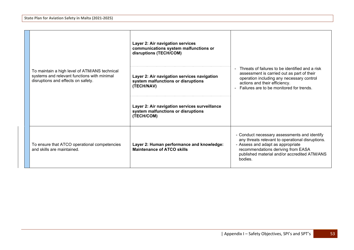|                                                                                                                                    | Layer 2: Air navigation services<br>communications system malfunctions or<br>disruptions (TECH/COM) |                                                                                                                                                                                                                                        |
|------------------------------------------------------------------------------------------------------------------------------------|-----------------------------------------------------------------------------------------------------|----------------------------------------------------------------------------------------------------------------------------------------------------------------------------------------------------------------------------------------|
| To maintain a high level of ATM/ANS technical<br>systems and relevant functions with minimal<br>disruptions and effects on safety. | Layer 2: Air navigation services navigation<br>system malfunctions or disruptions<br>(TECH/NAV)     | Threats of failures to be identified and a risk<br>assessment is carried out as part of their<br>operation including any necessary control<br>actions and their efficiency.<br>Failures are to be monitored for trends.                |
|                                                                                                                                    | Layer 2: Air navigation services surveillance<br>system malfunctions or disruptions<br>(TECH/COM)   |                                                                                                                                                                                                                                        |
| To ensure that ATCO operational competencies<br>and skills are maintained.                                                         | Layer 2: Human performance and knowledge:<br><b>Maintenance of ATCO skills</b>                      | - Conduct necessary assessments and identify<br>any threats relevant to operational disruptions.<br>- Assess and adapt as appropriate<br>recommendations deriving from EASA<br>published material and/or accredited ATM/ANS<br>bodies. |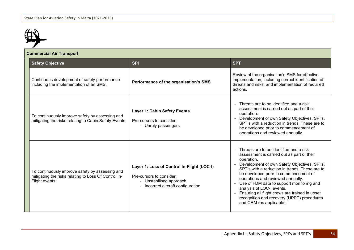

| <b>Commercial Air Transport</b> |                                                                                                                           |                                                                                                                                         |                                                                                                                                                                                                                                                                                                                                                                                                                                                                                           |
|---------------------------------|---------------------------------------------------------------------------------------------------------------------------|-----------------------------------------------------------------------------------------------------------------------------------------|-------------------------------------------------------------------------------------------------------------------------------------------------------------------------------------------------------------------------------------------------------------------------------------------------------------------------------------------------------------------------------------------------------------------------------------------------------------------------------------------|
|                                 | <b>Safety Objective</b>                                                                                                   | <b>SPI</b>                                                                                                                              | <b>SPT</b>                                                                                                                                                                                                                                                                                                                                                                                                                                                                                |
|                                 | Continuous development of safety performance<br>including the implementation of an SMS.                                   | Performance of the organisation's SMS                                                                                                   | Review of the organisation's SMS for effective<br>implementation, including correct identification of<br>threats and risks, and implementation of required<br>actions.                                                                                                                                                                                                                                                                                                                    |
|                                 | To continuously improve safety by assessing and<br>mitigating the risks relating to Cabin Safety Events.                  | <b>Layer 1: Cabin Safety Events</b><br>Pre-cursors to consider:<br>- Unruly passengers                                                  | Threats are to be identified and a risk<br>assessment is carried out as part of their<br>operation.<br>Development of own Safety Objectives, SPI's,<br>SPT's with a reduction in trends. These are to<br>be developed prior to commencement of<br>operations and reviewed annually.                                                                                                                                                                                                       |
|                                 | To continuously improve safety by assessing and<br>mitigating the risks relating to Loss Of Control In-<br>Flight events. | Layer 1: Loss of Control In-Flight (LOC-I)<br>Pre-cursors to consider:<br>- Unstabilised approach<br>- Incorrect aircraft configuration | Threats are to be identified and a risk<br>assessment is carried out as part of their<br>operation.<br>Development of own Safety Objectives, SPI's,<br>SPT's with a reduction in trends. These are to<br>be developed prior to commencement of<br>operations and reviewed annually.<br>Use of FDM data to support monitoring and<br>analysis of LOC-I events.<br>Ensuring all flight crews are trained in upset<br>recognition and recovery (UPRT) procedures<br>and CRM (as applicable). |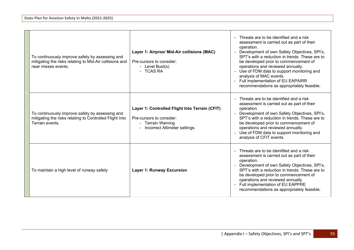| To continuously improve safety by assessing and<br>mitigating the risks relating to Mid-Air collisions and<br>near misses events. | Layer 1: Airprox/ Mid-Air collisions (MAC)<br>Pre-cursors to consider:<br>- Level Bust(s)<br>- TCAS RA                            | Threats are to be identified and a risk<br>assessment is carried out as part of their<br>operation.<br>Development of own Safety Objectives, SPI's,<br>SPT's with a reduction in trends. These are to<br>be developed prior to commencement of<br>operations and reviewed annually.<br>- Use of FDM data to support monitoring and<br>analysis of MAC events.<br>- Full implementation of EU EAPAIRR<br>recommendations as appropriately feasible. |
|-----------------------------------------------------------------------------------------------------------------------------------|-----------------------------------------------------------------------------------------------------------------------------------|----------------------------------------------------------------------------------------------------------------------------------------------------------------------------------------------------------------------------------------------------------------------------------------------------------------------------------------------------------------------------------------------------------------------------------------------------|
| To continuously improve safety by assessing and<br>mitigating the risks relating to Controlled Flight Into<br>Terrain events.     | Layer 1: Controlled Flight Into Terrain (CFIT)<br>Pre-cursors to consider:<br>- Terrain Warning<br>- Incorrect Altimeter settings | Threats are to be identified and a risk<br>assessment is carried out as part of their<br>operation.<br>Development of own Safety Objectives, SPI's,<br>SPT's with a reduction in trends. These are to<br>be developed prior to commencement of<br>operations and reviewed annually.<br>Use of FDM data to support monitoring and<br>analysis of CFIT events.                                                                                       |
| To maintain a high level of runway safety                                                                                         | <b>Layer 1: Runway Excursion</b>                                                                                                  | Threats are to be identified and a risk<br>assessment is carried out as part of their<br>operation.<br>Development of own Safety Objectives, SPI's,<br>SPT's with a reduction in trends. These are to<br>be developed prior to commencement of<br>operations and reviewed annually.<br>- Full implementation of EU EAPPRE<br>recommendations as appropriately feasible.                                                                            |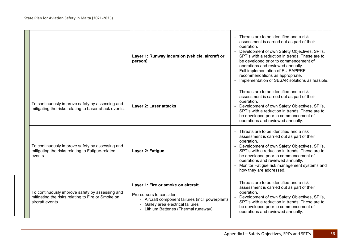|                                                                                                                          | Layer 1: Runway Incursion (vehicle, aircraft or<br>person)                                                                                                                                       | Threats are to be identified and a risk<br>assessment is carried out as part of their<br>operation.<br>Development of own Safety Objectives, SPI's,<br>SPT's with a reduction in trends. These are to<br>be developed prior to commencement of<br>operations and reviewed annually.<br>- Full implementation of EU EAPPRE<br>recommendations as appropriate.<br>Implementation of SESAR solutions as feasible. |
|--------------------------------------------------------------------------------------------------------------------------|--------------------------------------------------------------------------------------------------------------------------------------------------------------------------------------------------|----------------------------------------------------------------------------------------------------------------------------------------------------------------------------------------------------------------------------------------------------------------------------------------------------------------------------------------------------------------------------------------------------------------|
| To continuously improve safety by assessing and<br>mitigating the risks relating to Laser attack events.                 | Layer 2: Laser attacks                                                                                                                                                                           | - Threats are to be identified and a risk<br>assessment is carried out as part of their<br>operation.<br>- Development of own Safety Objectives, SPI's,<br>SPT's with a reduction in trends. These are to<br>be developed prior to commencement of<br>operations and reviewed annually.                                                                                                                        |
| To continuously improve safety by assessing and<br>mitigating the risks relating to Fatigue-related<br>events.           | Layer 2: Fatigue                                                                                                                                                                                 | - Threats are to be identified and a risk<br>assessment is carried out as part of their<br>operation.<br>- Development of own Safety Objectives, SPI's,<br>SPT's with a reduction in trends. These are to<br>be developed prior to commencement of<br>operations and reviewed annually.<br>Monitor Fatigue risk management systems and<br>how they are addressed.                                              |
| To continuously improve safety by assessing and<br>mitigating the risks relating to Fire or Smoke on<br>aircraft events. | Layer 1: Fire or smoke on aircraft<br>Pre-cursors to consider:<br>- Aircraft component failures (incl. powerplant)<br>- Galley area electrical failures<br>- Lithium Batteries (Thermal runaway) | Threats are to be identified and a risk<br>assessment is carried out as part of their<br>operation.<br>Development of own Safety Objectives, SPI's,<br>SPT's with a reduction in trends. These are to<br>be developed prior to commencement of<br>operations and reviewed annually.                                                                                                                            |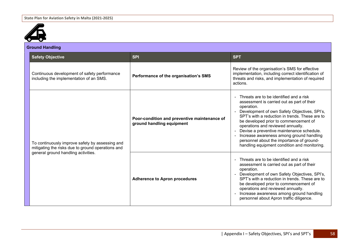

| <b>Ground Handling</b> |                                                                                                      |                                                                           |                                                                                                                                                                                                                                                                                                                                                                                                                                                                           |
|------------------------|------------------------------------------------------------------------------------------------------|---------------------------------------------------------------------------|---------------------------------------------------------------------------------------------------------------------------------------------------------------------------------------------------------------------------------------------------------------------------------------------------------------------------------------------------------------------------------------------------------------------------------------------------------------------------|
|                        | <b>Safety Objective</b>                                                                              | <b>SPI</b>                                                                | <b>SPT</b>                                                                                                                                                                                                                                                                                                                                                                                                                                                                |
|                        | Continuous development of safety performance<br>including the implementation of an SMS.              | Performance of the organisation's SMS                                     | Review of the organisation's SMS for effective<br>implementation, including correct identification of<br>threats and risks, and implementation of required<br>actions.                                                                                                                                                                                                                                                                                                    |
|                        | To continuously improve safety by assessing and<br>mitigating the risks due to ground operations and | Poor-condition and preventive maintenance of<br>ground handling equipment | Threats are to be identified and a risk<br>assessment is carried out as part of their<br>operation.<br>Development of own Safety Objectives, SPI's,<br>SPT's with a reduction in trends. These are to<br>be developed prior to commencement of<br>operations and reviewed annually.<br>Devise a preventive maintenance schedule.<br>Increase awareness among ground handling<br>personnel about the importance of ground-<br>handling equipment condition and monitoring. |
|                        | general ground handling activities.                                                                  | <b>Adherence to Apron procedures</b>                                      | Threats are to be identified and a risk<br>assessment is carried out as part of their<br>operation.<br>Development of own Safety Objectives, SPI's,<br>SPT's with a reduction in trends. These are to<br>be developed prior to commencement of<br>operations and reviewed annually.<br>Increase awareness among ground handling<br>personnel about Apron traffic diligence.                                                                                               |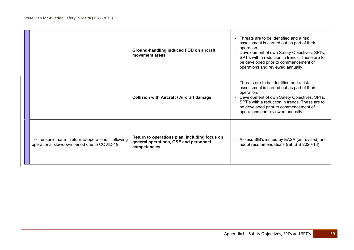|                                                                                                 | Ground-handling induced FOD on aircraft<br>movement areas                                              | - Threats are to be identified and a risk<br>assessment is carried out as part of their<br>operation.<br>Development of own Safety Objectives, SPI's,<br>$\blacksquare$<br>SPT's with a reduction in trends. These are to<br>be developed prior to commencement of<br>operations and reviewed annually. |
|-------------------------------------------------------------------------------------------------|--------------------------------------------------------------------------------------------------------|---------------------------------------------------------------------------------------------------------------------------------------------------------------------------------------------------------------------------------------------------------------------------------------------------------|
|                                                                                                 | <b>Collision with Aircraft / Aircraft damage</b>                                                       | - Threats are to be identified and a risk<br>assessment is carried out as part of their<br>operation.<br>Development of own Safety Objectives, SPI's,<br>SPT's with a reduction in trends. These are to<br>be developed prior to commencement of<br>operations and reviewed annually.                   |
| ensure safe return-to-operations following<br>To<br>operational slowdown period due to COVID-19 | Return to operations plan, including focus on<br>general operations, GSE and personnel<br>competencies | Assess SIB's issued by EASA (as revised) and<br>adopt recommendations (ref: SIB 2020-13).                                                                                                                                                                                                               |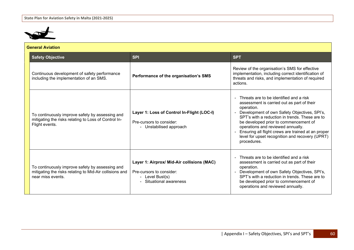

| <b>General Aviation</b>                                                                                                         |                                                                                                                    |                                                                                                                                                                                                                                                                                                                                                                                                             |
|---------------------------------------------------------------------------------------------------------------------------------|--------------------------------------------------------------------------------------------------------------------|-------------------------------------------------------------------------------------------------------------------------------------------------------------------------------------------------------------------------------------------------------------------------------------------------------------------------------------------------------------------------------------------------------------|
| <b>Safety Objective</b>                                                                                                         | <b>SPI</b>                                                                                                         | <b>SPT</b>                                                                                                                                                                                                                                                                                                                                                                                                  |
| Continuous development of safety performance<br>including the implementation of an SMS.                                         | Performance of the organisation's SMS                                                                              | Review of the organisation's SMS for effective<br>implementation, including correct identification of<br>threats and risks, and implementation of required<br>actions.                                                                                                                                                                                                                                      |
| To continuously improve safety by assessing and<br>mitigating the risks relating to Loss of Control In-<br>Flight events.       | Layer 1: Loss of Control In-Flight (LOC-I)<br>Pre-cursors to consider:<br>- Unstabilised approach                  | Threats are to be identified and a risk<br>assessment is carried out as part of their<br>operation.<br>Development of own Safety Objectives, SPI's,<br>SPT's with a reduction in trends. These are to<br>be developed prior to commencement of<br>operations and reviewed annually.<br>Ensuring all flight crews are trained at an proper<br>level for upset recognition and recovery (UPRT)<br>procedures. |
| To continuously improve safety by assessing and<br>mitigating the risks relating to Mid-Air collisions and<br>near miss events. | Layer 1: Airprox/ Mid-Air collisions (MAC)<br>Pre-cursors to consider:<br>- Level Bust(s)<br>Situational awareness | Threats are to be identified and a risk<br>assessment is carried out as part of their<br>operation.<br>Development of own Safety Objectives, SPI's,<br>SPT's with a reduction in trends. These are to<br>be developed prior to commencement of<br>operations and reviewed annually.                                                                                                                         |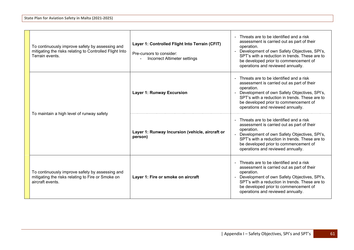| To continuously improve safety by assessing and<br>mitigating the risks relating to Controlled Flight Into<br>Terrain events. | Layer 1: Controlled Flight Into Terrain (CFIT)<br>Pre-cursors to consider:<br><b>Incorrect Altimeter settings</b> | Threats are to be identified and a risk<br>assessment is carried out as part of their<br>operation.<br>Development of own Safety Objectives, SPI's,<br>SPT's with a reduction in trends. These are to<br>be developed prior to commencement of<br>operations and reviewed annually.           |
|-------------------------------------------------------------------------------------------------------------------------------|-------------------------------------------------------------------------------------------------------------------|-----------------------------------------------------------------------------------------------------------------------------------------------------------------------------------------------------------------------------------------------------------------------------------------------|
|                                                                                                                               | <b>Layer 1: Runway Excursion</b>                                                                                  | Threats are to be identified and a risk<br>assessment is carried out as part of their<br>operation.<br>Development of own Safety Objectives, SPI's,<br>SPT's with a reduction in trends. These are to<br>be developed prior to commencement of<br>operations and reviewed annually.           |
| To maintain a high level of runway safety                                                                                     | Layer 1: Runway Incursion (vehicle, aircraft or<br>person)                                                        | Threats are to be identified and a risk<br>assessment is carried out as part of their<br>operation.<br>Development of own Safety Objectives, SPI's,<br>SPT's with a reduction in trends. These are to<br>be developed prior to commencement of<br>operations and reviewed annually.           |
| To continuously improve safety by assessing and<br>mitigating the risks relating to Fire or Smoke on<br>aircraft events.      | Layer 1: Fire or smoke on aircraft                                                                                | Threats are to be identified and a risk<br>$\sim$<br>assessment is carried out as part of their<br>operation.<br>Development of own Safety Objectives, SPI's,<br>SPT's with a reduction in trends. These are to<br>be developed prior to commencement of<br>operations and reviewed annually. |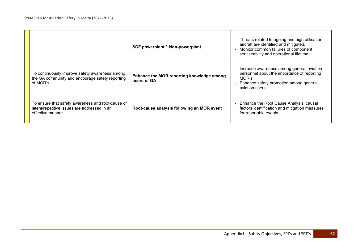|                                                                                                                        | SCF powerplant /. Non-powerplant                         | Threats related to ageing and high utilisation<br>$\blacksquare$<br>aircraft are identified and mitigated.<br>Monitor common failures of component<br>serviceability and operational lifetime |
|------------------------------------------------------------------------------------------------------------------------|----------------------------------------------------------|-----------------------------------------------------------------------------------------------------------------------------------------------------------------------------------------------|
| To continuously improve safety awareness among<br>the GA community and encourage safety reporting<br>of MOR's.         | Enhance the MOR reporting knowledge among<br>users of GA | Increase awareness among general aviation<br>personnel about the importance of reporting<br>MOR's.<br>Enhance safety promotion among general<br>aviation users.                               |
| To ensure that safety awareness and root-cause of<br>latent/repetitive issues are addressed in an<br>effective manner. | Root-cause analysis following an MOR event               | Enhance the Root Cause Analysis, causal<br>$\blacksquare$<br>factors identification and mitigation measures<br>for reportable events.                                                         |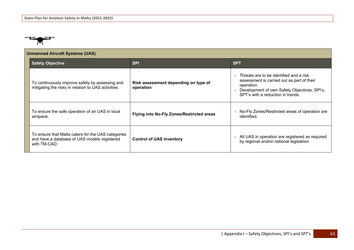

| <b>Unmanned Aircraft Systems (UAS)</b>                                                                             |                                                   |                                                                                                                                                                                          |
|--------------------------------------------------------------------------------------------------------------------|---------------------------------------------------|------------------------------------------------------------------------------------------------------------------------------------------------------------------------------------------|
| <b>Safety Objective</b>                                                                                            | <b>SPI</b>                                        | <b>SPT</b>                                                                                                                                                                               |
| To continuously improve safety by assessing and<br>mitigating the risks in relation to UAS activities.             | Risk assessment depending on type of<br>operation | Threats are to be identified and a risk<br>assessment is carried out as part of their<br>operation.<br>Development of own Safety Objectives, SPI's,<br>SPT's with a reduction in trends. |
| To ensure the safe operation of an UAS in local<br>airspace.                                                       | <b>Flying into No-Fly Zones/Restricted areas</b>  | No-Fly Zones/Restricted areas of operation are<br>identified.                                                                                                                            |
| To ensure that Malta caters for the UAS categories<br>and have a database of UAS models registered<br>with TM-CAD. | <b>Control of UAS inventory</b>                   | All UAS in operation are registered as required<br>by regional and/or national legislation                                                                                               |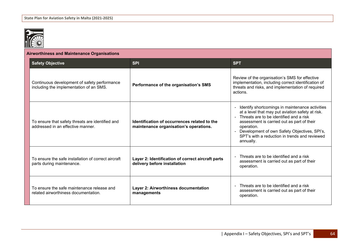

| <b>Airworthiness and Maintenance Organisations</b>                                      |                                                                                        |                                                                                                                                                                                                                                                                                                                                            |
|-----------------------------------------------------------------------------------------|----------------------------------------------------------------------------------------|--------------------------------------------------------------------------------------------------------------------------------------------------------------------------------------------------------------------------------------------------------------------------------------------------------------------------------------------|
| <b>Safety Objective</b>                                                                 | <b>SPI</b>                                                                             | <b>SPT</b>                                                                                                                                                                                                                                                                                                                                 |
| Continuous development of safety performance<br>including the implementation of an SMS. | Performance of the organisation's SMS                                                  | Review of the organisation's SMS for effective<br>implementation, including correct identification of<br>threats and risks, and implementation of required<br>actions.                                                                                                                                                                     |
| To ensure that safety threats are identified and<br>addressed in an effective manner.   | Identification of occurrences related to the<br>maintenance organisation's operations. | Identify shortcomings in maintenance activities<br>$\blacksquare$<br>at a level that may put aviation safety at risk.<br>Threats are to be identified and a risk<br>assessment is carried out as part of their<br>operation.<br>Development of own Safety Objectives, SPI's,<br>SPT's with a reduction in trends and reviewed<br>annually. |
| To ensure the safe installation of correct aircraft<br>parts during maintenance.        | Layer 2: Identification of correct aircraft parts<br>delivery before installation      | Threats are to be identified and a risk<br>assessment is carried out as part of their<br>operation.                                                                                                                                                                                                                                        |
| To ensure the safe maintenance release and<br>related airworthiness documentation.      | Layer 2: Airworthiness documentation<br>managements                                    | Threats are to be identified and a risk<br>$\blacksquare$<br>assessment is carried out as part of their<br>operation.                                                                                                                                                                                                                      |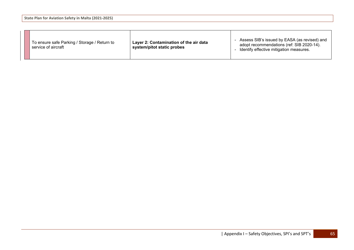|--|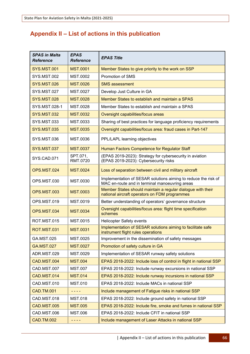## **Appendix II – List of actions in this publication**

| <b>SPAS in Malta</b><br><b>Reference</b> | EPAS<br><b>Reference</b> | <b>EPAS Title</b>                                                                                                |
|------------------------------------------|--------------------------|------------------------------------------------------------------------------------------------------------------|
| <b>SYS.MST.001</b>                       | <b>MST.0001</b>          | Member States to give priority to the work on SSP                                                                |
| <b>SYS.MST.002</b>                       | MST.0002                 | <b>Promotion of SMS</b>                                                                                          |
| <b>SYS.MST.026</b>                       | <b>MST.0026</b>          | <b>SMS</b> assessment                                                                                            |
| <b>SYS.MST.027</b>                       | MST.0027                 | Develop Just Culture in GA                                                                                       |
| <b>SYS.MST.028</b>                       | <b>MST.0028</b>          | Member States to establish and maintain a SPAS                                                                   |
| SYS.MST.028-1                            | MST.0028                 | Member States to establish and maintain a SPAS                                                                   |
| <b>SYS.MST.032</b>                       | <b>MST.0032</b>          | Oversight capabilities/focus areas                                                                               |
| <b>SYS.MST.033</b>                       | MST.0033                 | Sharing of best practices for language proficiency requirements                                                  |
| <b>SYS.MST.035</b>                       | <b>MST.0035</b>          | Oversight capabilities/focus area: fraud cases in Part-147                                                       |
| <b>SYS.MST.036</b>                       | MST.0036                 | PPL/LAPL learning objectives                                                                                     |
| <b>SYS.MST.037</b>                       | <b>MST.0037</b>          | Human Factors Competence for Regulator Staff                                                                     |
| SYS.CAD.071                              | SPT.071,<br>RMT.0720     | (EPAS 2019-2023): Strategy for cybersecurity in aviation<br>(EPAS 2019-2023): Cybersecurity risks                |
| OPS.MST.024                              | <b>MST.0024</b>          | Loss of separation between civil and military aircraft                                                           |
| OPS.MST.030                              | MST.0030                 | Implementation of SESAR solutions aiming to reduce the risk of<br>MAC en-route and in terminal manoeuvring areas |
| OPS.MST.003                              | <b>MST.0003</b>          | Member States should maintain a regular dialogue with their<br>national aircraft operators on FDM programmes     |
| OPS.MST.019                              | MST.0019                 | Better understanding of operators' governance structure                                                          |
| <b>OPS.MST.034</b>                       | <b>MST.0034</b>          | Oversight capabilities/focus area: flight time specification<br>schemes                                          |
| ROT.MST.015                              | MST.0015                 | <b>Helicopter Safety events</b>                                                                                  |
| <b>ROT.MST.031</b>                       | <b>MST.0031</b>          | Implementation of SESAR solutions aiming to facilitate safe<br>instrument flight rules operations                |
| GA.MST.025                               | MST.0025                 | Improvement in the dissemination of safety messages                                                              |
| <b>GA.MST.027</b>                        | <b>MST.0027</b>          | Promotion of safety culture in GA                                                                                |
| ADR.MST.029                              | MST.0029                 | Implementation of SESAR runway safety solutions                                                                  |
| CAD.MST.004                              | <b>MST.004</b>           | EPAS 2018-2022: Include loss of control in flight in national SSP                                                |
| CAD.MST.007                              | <b>MST.007</b>           | EPAS 2018-2022: Include runway excursions in national SSP                                                        |
| CAD.MST.014                              | <b>MST.014</b>           | EPAS 2018-2022: Include runway incursions in national SSP                                                        |
| CAD.MST.010                              | <b>MST.010</b>           | EPAS 2018-2022: Include MACs in national SSP                                                                     |
| <b>CAD.TM.001</b>                        | - - - -                  | Include management of Fatigue risks in national SSP                                                              |
| CAD.MST.018                              | <b>MST.018</b>           | EPAS 2018-2022: Include ground safety in national SSP                                                            |
| CAD.MST.005                              | <b>MST.005</b>           | EPAS 2018-2022: Include fire, smoke and fumes in national SSP                                                    |
| CAD.MST.006                              | MST.006                  | EPAS 2018-2022: Include CFIT in national SSP                                                                     |
| <b>CAD.TM.002</b>                        | - - - -                  | Include management of Laser Attacks in national SSP                                                              |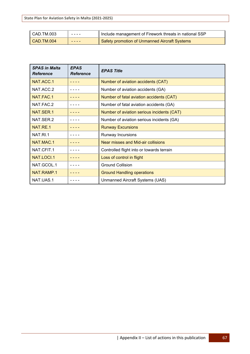**State Plan for Aviation Safety in Malta (2021-2025)**

| CAD.TM.003 | . | Include management of Firework threats in national SSP |
|------------|---|--------------------------------------------------------|
| CAD.TM.004 | . | I Safety promotion of Unmanned Aircraft Systems        |

| <b>SPAS in Malta</b><br><b>Reference</b> | <b>EPAS</b><br><b>Reference</b> | <b>EPAS Title</b>                          |
|------------------------------------------|---------------------------------|--------------------------------------------|
| NAT.ACC.1                                |                                 | Number of aviation accidents (CAT)         |
| NAT.ACC.2                                |                                 | Number of aviation accidents (GA)          |
| NAT.FAC.1                                |                                 | Number of fatal aviation accidents (CAT)   |
| NAT.FAC.2                                |                                 | Number of fatal aviation accidents (GA)    |
| NAT.SER.1                                |                                 | Number of aviation serious incidents (CAT) |
| NAT.SER.2                                |                                 | Number of aviation serious incidents (GA)  |
| NAT.RE.1                                 |                                 | <b>Runway Excursions</b>                   |
| NAT.RI.1                                 |                                 | Runway Incursions                          |
| NAT.MAC.1                                |                                 | Near misses and Mid-air collisions         |
| NAT.CFIT.1                               |                                 | Controlled flight into or towards terrain  |
| NAT.LOCI.1                               |                                 | Loss of control in flight                  |
| NAT.GCOL.1                               |                                 | <b>Ground Collision</b>                    |
| NAT.RAMP.1                               |                                 | <b>Ground Handling operations</b>          |
| NAT.UAS.1                                |                                 | Unmanned Aircraft Systems (UAS)            |